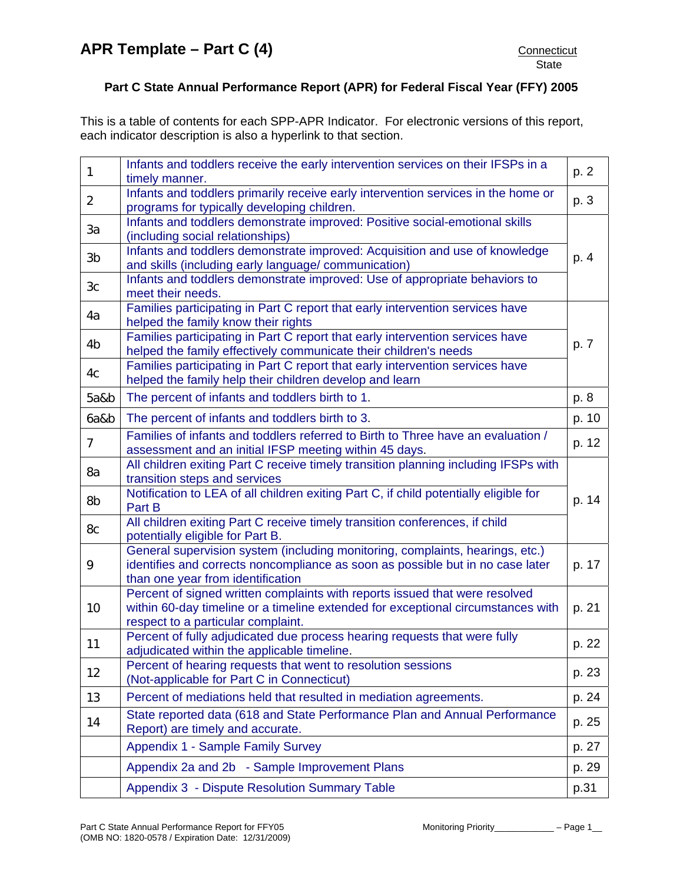This is a table of contents for each SPP-APR Indicator. For electronic versions of this report, each indicator description is also a hyperlink to that section.

| $\mathbf{1}$                                                                                                                                   | Infants and toddlers receive the early intervention services on their IFSPs in a<br>timely manner.                                                                                                    | p. 2  |  |
|------------------------------------------------------------------------------------------------------------------------------------------------|-------------------------------------------------------------------------------------------------------------------------------------------------------------------------------------------------------|-------|--|
| $\overline{2}$                                                                                                                                 | Infants and toddlers primarily receive early intervention services in the home or<br>programs for typically developing children.                                                                      | p. 3  |  |
| 3a                                                                                                                                             | Infants and toddlers demonstrate improved: Positive social-emotional skills<br>(including social relationships)                                                                                       |       |  |
| 3b                                                                                                                                             | Infants and toddlers demonstrate improved: Acquisition and use of knowledge<br>and skills (including early language/ communication)                                                                   | p. 4  |  |
| 3c                                                                                                                                             | Infants and toddlers demonstrate improved: Use of appropriate behaviors to<br>meet their needs.                                                                                                       |       |  |
| 4a                                                                                                                                             | Families participating in Part C report that early intervention services have<br>helped the family know their rights                                                                                  |       |  |
| 4b                                                                                                                                             | Families participating in Part C report that early intervention services have<br>helped the family effectively communicate their children's needs                                                     | p. 7  |  |
| Families participating in Part C report that early intervention services have<br>4c<br>helped the family help their children develop and learn |                                                                                                                                                                                                       |       |  |
| 5a&b                                                                                                                                           | The percent of infants and toddlers birth to 1.                                                                                                                                                       | p. 8  |  |
| 6a&b                                                                                                                                           | The percent of infants and toddlers birth to 3.                                                                                                                                                       | p. 10 |  |
| $\overline{7}$                                                                                                                                 | Families of infants and toddlers referred to Birth to Three have an evaluation /<br>assessment and an initial IFSP meeting within 45 days.                                                            | p. 12 |  |
| 8a                                                                                                                                             | All children exiting Part C receive timely transition planning including IFSPs with<br>transition steps and services                                                                                  |       |  |
| 8b                                                                                                                                             | Notification to LEA of all children exiting Part C, if child potentially eligible for<br>Part B                                                                                                       | p. 14 |  |
| 8c                                                                                                                                             | All children exiting Part C receive timely transition conferences, if child<br>potentially eligible for Part B.                                                                                       |       |  |
| 9                                                                                                                                              | General supervision system (including monitoring, complaints, hearings, etc.)<br>identifies and corrects noncompliance as soon as possible but in no case later<br>than one year from identification  | p. 17 |  |
| 10                                                                                                                                             | Percent of signed written complaints with reports issued that were resolved<br>within 60-day timeline or a timeline extended for exceptional circumstances with<br>respect to a particular complaint. | p. 21 |  |
| 11                                                                                                                                             | Percent of fully adjudicated due process hearing requests that were fully<br>adjudicated within the applicable timeline.                                                                              | p. 22 |  |
| 12                                                                                                                                             | Percent of hearing requests that went to resolution sessions<br>(Not-applicable for Part C in Connecticut)                                                                                            | p. 23 |  |
| 13                                                                                                                                             | Percent of mediations held that resulted in mediation agreements.                                                                                                                                     | p. 24 |  |
| 14                                                                                                                                             | State reported data (618 and State Performance Plan and Annual Performance<br>Report) are timely and accurate.                                                                                        | p. 25 |  |
|                                                                                                                                                | Appendix 1 - Sample Family Survey                                                                                                                                                                     | p. 27 |  |
|                                                                                                                                                | Appendix 2a and 2b - Sample Improvement Plans                                                                                                                                                         | p. 29 |  |
|                                                                                                                                                | Appendix 3 - Dispute Resolution Summary Table                                                                                                                                                         | p.31  |  |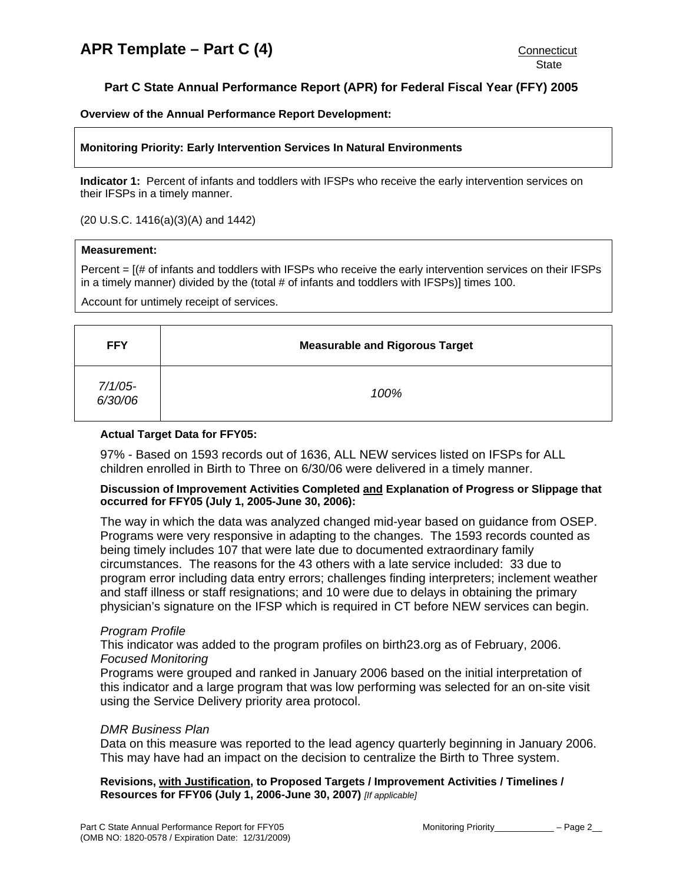# <span id="page-1-0"></span>**Part C State Annual Performance Report (APR) for Federal Fiscal Year (FFY) 2005**

**Overview of the Annual Performance Report Development:** 

### **Monitoring Priority: Early Intervention Services In Natural Environments**

**Indicator 1:** Percent of infants and toddlers with IFSPs who receive the early intervention services on their IFSPs in a timely manner.

(20 U.S.C. 1416(a)(3)(A) and 1442)

#### **Measurement:**

Percent = [(# of infants and toddlers with IFSPs who receive the early intervention services on their IFSPs in a timely manner) divided by the (total # of infants and toddlers with IFSPs)] times 100.

Account for untimely receipt of services.

| <b>FFY</b>            | <b>Measurable and Rigorous Target</b> |  |  |  |  |
|-----------------------|---------------------------------------|--|--|--|--|
| $7/1/05$ -<br>6/30/06 | 100%                                  |  |  |  |  |

### **Actual Target Data for FFY05:**

97% - Based on 1593 records out of 1636, ALL NEW services listed on IFSPs for ALL children enrolled in Birth to Three on 6/30/06 were delivered in a timely manner.

### **Discussion of Improvement Activities Completed and Explanation of Progress or Slippage that occurred for FFY05 (July 1, 2005-June 30, 2006):**

The way in which the data was analyzed changed mid-year based on guidance from OSEP. Programs were very responsive in adapting to the changes. The 1593 records counted as being timely includes 107 that were late due to documented extraordinary family circumstances. The reasons for the 43 others with a late service included: 33 due to program error including data entry errors; challenges finding interpreters; inclement weather and staff illness or staff resignations; and 10 were due to delays in obtaining the primary physician's signature on the IFSP which is required in CT before NEW services can begin.

# *Program Profile*

This indicator was added to the program profiles on birth23.org as of February, 2006. *Focused Monitoring* 

Programs were grouped and ranked in January 2006 based on the initial interpretation of this indicator and a large program that was low performing was selected for an on-site visit using the Service Delivery priority area protocol.

#### *DMR Business Plan*

Data on this measure was reported to the lead agency quarterly beginning in January 2006. This may have had an impact on the decision to centralize the Birth to Three system.

**Revisions, with Justification, to Proposed Targets / Improvement Activities / Timelines / Resources for FFY06 (July 1, 2006-June 30, 2007)** *[If applicable]*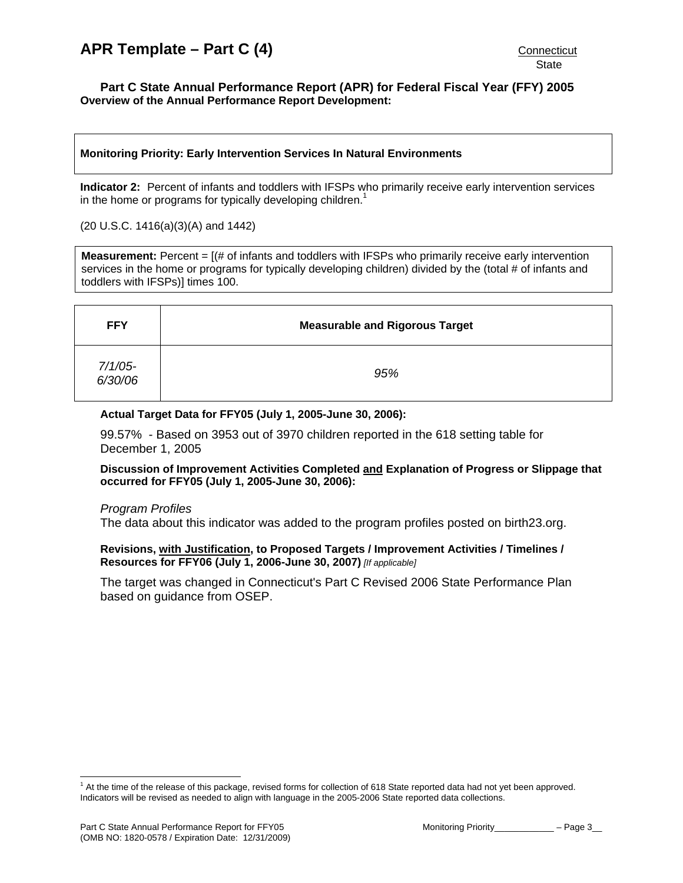#### <span id="page-2-0"></span>**Part C State Annual Performance Report (APR) for Federal Fiscal Year (FFY) 2005 Overview of the Annual Performance Report Development:**

### **Monitoring Priority: Early Intervention Services In Natural Environments**

**Indicator 2:** Percent of infants and toddlers with IFSPs who primarily receive early intervention services in the home or programs for typically developing children.<sup>1</sup>

#### (20 U.S.C. 1416(a)(3)(A) and 1442)

**Measurement:** Percent = [(# of infants and toddlers with IFSPs who primarily receive early intervention services in the home or programs for typically developing children) divided by the (total # of infants and toddlers with IFSPs)] times 100.

| <b>FFY</b>            | <b>Measurable and Rigorous Target</b> |
|-----------------------|---------------------------------------|
| $7/1/05$ -<br>6/30/06 | 95%                                   |

### **Actual Target Data for FFY05 (July 1, 2005-June 30, 2006):**

99.57% - Based on 3953 out of 3970 children reported in the 618 setting table for December 1, 2005

#### **Discussion of Improvement Activities Completed and Explanation of Progress or Slippage that occurred for FFY05 (July 1, 2005-June 30, 2006):**

#### *Program Profiles*

The data about this indicator was added to the program profiles posted on birth23.org.

#### **Revisions, with Justification, to Proposed Targets / Improvement Activities / Timelines / Resources for FFY06 (July 1, 2006-June 30, 2007)** *[If applicable]*

The target was changed in Connecticut's Part C Revised 2006 State Performance Plan based on guidance from OSEP.

 $\overline{a}$ 

<sup>&</sup>lt;sup>1</sup> At the time of the release of this package, revised forms for collection of 618 State reported data had not yet been approved. Indicators will be revised as needed to align with language in the 2005-2006 State reported data collections.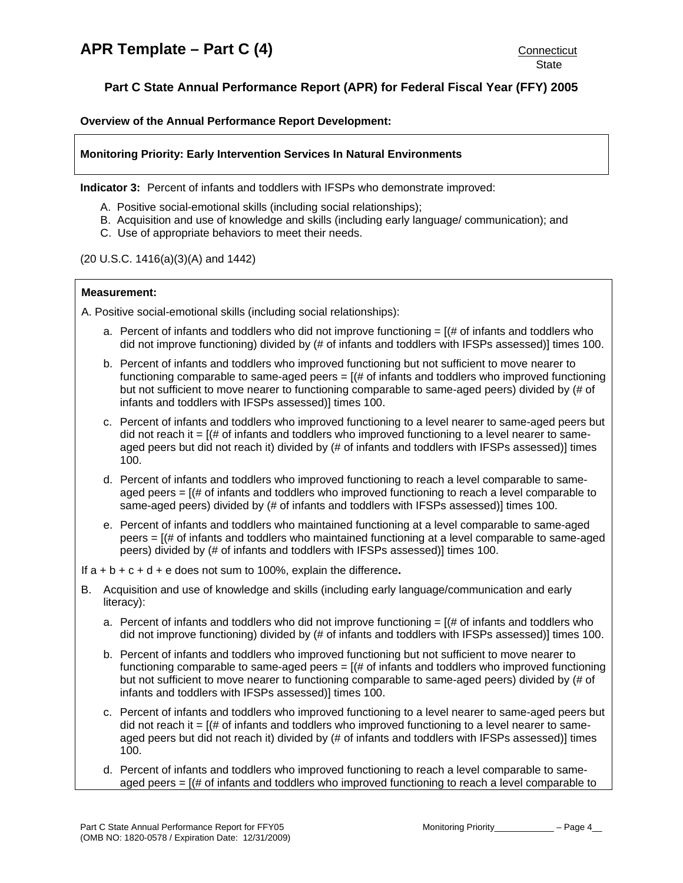<span id="page-3-0"></span>**Overview of the Annual Performance Report Development:** 

# **Monitoring Priority: Early Intervention Services In Natural Environments**

**Indicator 3:** Percent of infants and toddlers with IFSPs who demonstrate improved:

- A. Positive social-emotional skills (including social relationships);
- B. Acquisition and use of knowledge and skills (including early language/ communication); and
- C. Use of appropriate behaviors to meet their needs.

### (20 U.S.C. 1416(a)(3)(A) and 1442)

### **Measurement:**

A. Positive social-emotional skills (including social relationships):

- a. Percent of infants and toddlers who did not improve functioning  $=$  [ $\#$  of infants and toddlers who did not improve functioning) divided by (# of infants and toddlers with IFSPs assessed)] times 100.
- b. Percent of infants and toddlers who improved functioning but not sufficient to move nearer to functioning comparable to same-aged peers  $=$   $($   $\#$  of infants and toddlers who improved functioning but not sufficient to move nearer to functioning comparable to same-aged peers) divided by (# of infants and toddlers with IFSPs assessed)] times 100.
- c. Percent of infants and toddlers who improved functioning to a level nearer to same-aged peers but did not reach it =  $[(# of infants and toldlers who improved functioning to a level nearer to same$ aged peers but did not reach it) divided by (# of infants and toddlers with IFSPs assessed)] times 100.
- d. Percent of infants and toddlers who improved functioning to reach a level comparable to sameaged peers = [(# of infants and toddlers who improved functioning to reach a level comparable to same-aged peers) divided by (# of infants and toddlers with IFSPs assessed)] times 100.
- e. Percent of infants and toddlers who maintained functioning at a level comparable to same-aged peers = [(# of infants and toddlers who maintained functioning at a level comparable to same-aged peers) divided by (# of infants and toddlers with IFSPs assessed)] times 100.

If a + b + c + d + e does not sum to 100%, explain the difference**.**

- B. Acquisition and use of knowledge and skills (including early language/communication and early literacy):
	- a. Percent of infants and toddlers who did not improve functioning  $=$  [ $\#$  of infants and toddlers who did not improve functioning) divided by (# of infants and toddlers with IFSPs assessed)] times 100.
	- b. Percent of infants and toddlers who improved functioning but not sufficient to move nearer to functioning comparable to same-aged peers  $= [(# of infans and to dedlers who improved functioning]$ but not sufficient to move nearer to functioning comparable to same-aged peers) divided by (# of infants and toddlers with IFSPs assessed)] times 100.
	- c. Percent of infants and toddlers who improved functioning to a level nearer to same-aged peers but did not reach it  $=$   $($   $\#$  of infants and toddlers who improved functioning to a level nearer to sameaged peers but did not reach it) divided by (# of infants and toddlers with IFSPs assessed)] times 100.
	- d. Percent of infants and toddlers who improved functioning to reach a level comparable to sameaged peers  $=$   $[$   $\#$  of infants and toddlers who improved functioning to reach a level comparable to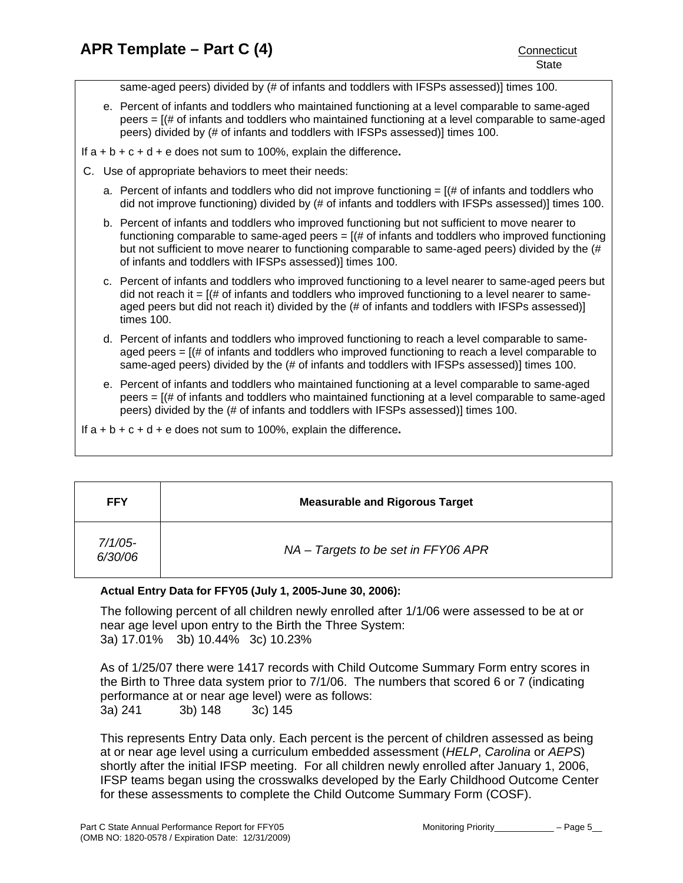same-aged peers) divided by (# of infants and toddlers with IFSPs assessed)] times 100.

- e. Percent of infants and toddlers who maintained functioning at a level comparable to same-aged peers = [(# of infants and toddlers who maintained functioning at a level comparable to same-aged peers) divided by (# of infants and toddlers with IFSPs assessed)] times 100.
- If a + b + c + d + e does not sum to 100%, explain the difference**.**
- C. Use of appropriate behaviors to meet their needs:
	- a. Percent of infants and toddlers who did not improve functioning  $=$   $[$   $\#$  of infants and toddlers who did not improve functioning) divided by (# of infants and toddlers with IFSPs assessed)] times 100.
	- b. Percent of infants and toddlers who improved functioning but not sufficient to move nearer to functioning comparable to same-aged peers  $= [(# of in \mathsf{f}])$  and toddlers who improved functioning but not sufficient to move nearer to functioning comparable to same-aged peers) divided by the (# of infants and toddlers with IFSPs assessed)] times 100.
	- c. Percent of infants and toddlers who improved functioning to a level nearer to same-aged peers but did not reach it  $=$   $[(# of infants and toldlers who improved functioning to a level nearer to same$ aged peers but did not reach it) divided by the (# of infants and toddlers with IFSPs assessed)] times 100.
	- d. Percent of infants and toddlers who improved functioning to reach a level comparable to sameaged peers  $=$   $[(# of in fants and toldlers who improved functional for each example]$ same-aged peers) divided by the (# of infants and toddlers with IFSPs assessed)] times 100.
	- e. Percent of infants and toddlers who maintained functioning at a level comparable to same-aged peers = [(# of infants and toddlers who maintained functioning at a level comparable to same-aged peers) divided by the (# of infants and toddlers with IFSPs assessed)] times 100.

If a + b + c + d + e does not sum to 100%, explain the difference**.** 

| <b>FFY</b>            | <b>Measurable and Rigorous Target</b> |
|-----------------------|---------------------------------------|
| $7/1/05$ -<br>6/30/06 | NA – Targets to be set in FFY06 APR   |

# **Actual Entry Data for FFY05 (July 1, 2005-June 30, 2006):**

The following percent of all children newly enrolled after 1/1/06 were assessed to be at or near age level upon entry to the Birth the Three System: 3a) 17.01% 3b) 10.44% 3c) 10.23%

As of 1/25/07 there were 1417 records with Child Outcome Summary Form entry scores in the Birth to Three data system prior to 7/1/06. The numbers that scored 6 or 7 (indicating performance at or near age level) were as follows: 3a) 241 3b) 148 3c) 145

This represents Entry Data only. Each percent is the percent of children assessed as being at or near age level using a curriculum embedded assessment (*HELP*, *Carolina* or *AEPS*) shortly after the initial IFSP meeting. For all children newly enrolled after January 1, 2006, IFSP teams began using the crosswalks developed by the Early Childhood Outcome Center for these assessments to complete the Child Outcome Summary Form (COSF).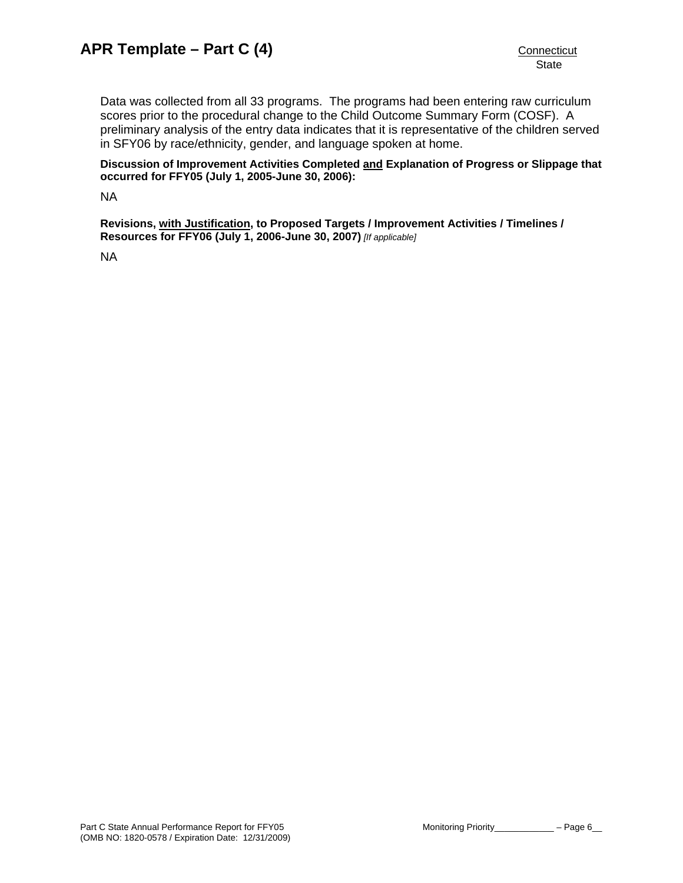Data was collected from all 33 programs. The programs had been entering raw curriculum scores prior to the procedural change to the Child Outcome Summary Form (COSF). A preliminary analysis of the entry data indicates that it is representative of the children served in SFY06 by race/ethnicity, gender, and language spoken at home.

**Discussion of Improvement Activities Completed and Explanation of Progress or Slippage that occurred for FFY05 (July 1, 2005-June 30, 2006):** 

NA

**Revisions, with Justification, to Proposed Targets / Improvement Activities / Timelines / Resources for FFY06 (July 1, 2006-June 30, 2007)** *[If applicable]*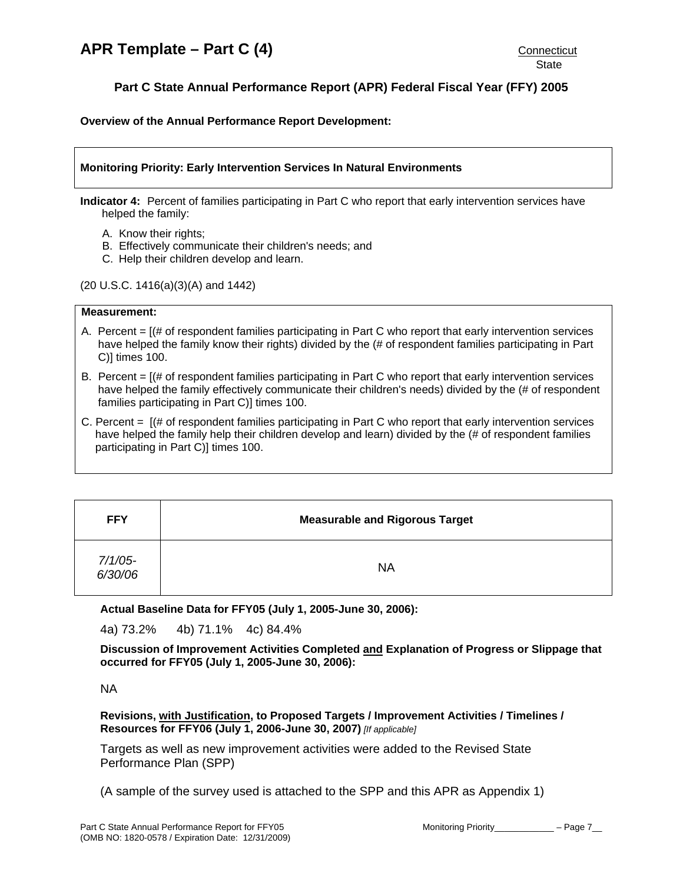<span id="page-6-0"></span>**Overview of the Annual Performance Report Development:** 

### **Monitoring Priority: Early Intervention Services In Natural Environments**

**Indicator 4:** Percent of families participating in Part C who report that early intervention services have helped the family:

- A. Know their rights;
- B. Effectively communicate their children's needs; and
- C. Help their children develop and learn.

(20 U.S.C. 1416(a)(3)(A) and 1442)

#### **Measurement:**

- A. Percent  $=$   $[$   $\#$  of respondent families participating in Part C who report that early intervention services have helped the family know their rights) divided by the (# of respondent families participating in Part C)] times 100.
- B. Percent = [(# of respondent families participating in Part C who report that early intervention services have helped the family effectively communicate their children's needs) divided by the (# of respondent families participating in Part C)] times 100.
- C. Percent = [(# of respondent families participating in Part C who report that early intervention services have helped the family help their children develop and learn) divided by the (# of respondent families participating in Part C)] times 100.

| <b>FFY</b>         | <b>Measurable and Rigorous Target</b> |
|--------------------|---------------------------------------|
| 7/1/05-<br>6/30/06 | <b>NA</b>                             |

**Actual Baseline Data for FFY05 (July 1, 2005-June 30, 2006):** 

4a) 73.2% 4b) 71.1% 4c) 84.4%

**Discussion of Improvement Activities Completed and Explanation of Progress or Slippage that occurred for FFY05 (July 1, 2005-June 30, 2006):** 

NA

**Revisions, with Justification, to Proposed Targets / Improvement Activities / Timelines / Resources for FFY06 (July 1, 2006-June 30, 2007)** *[If applicable]*

Targets as well as new improvement activities were added to the Revised State Performance Plan (SPP)

(A sample of the survey used is attached to the SPP and this APR as Appendix 1)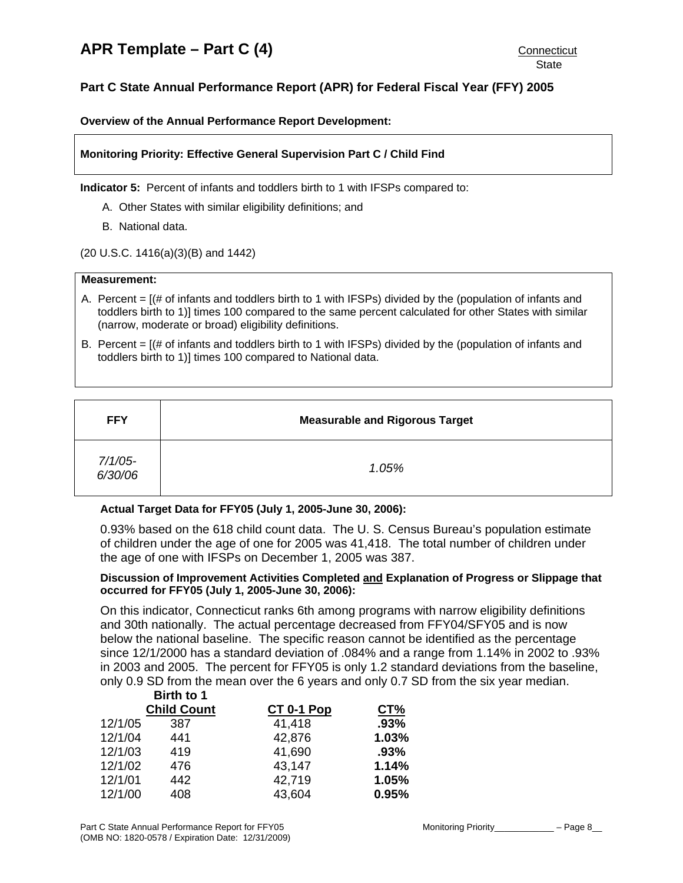# <span id="page-7-0"></span>**Part C State Annual Performance Report (APR) for Federal Fiscal Year (FFY) 2005**

**Overview of the Annual Performance Report Development:** 

### **Monitoring Priority: Effective General Supervision Part C / Child Find**

**Indicator 5:** Percent of infants and toddlers birth to 1 with IFSPs compared to:

- A. Other States with similar eligibility definitions; and
- B. National data.
- (20 U.S.C. 1416(a)(3)(B) and 1442)

#### **Measurement:**

- A. Percent = [(# of infants and toddlers birth to 1 with IFSPs) divided by the (population of infants and toddlers birth to 1)] times 100 compared to the same percent calculated for other States with similar (narrow, moderate or broad) eligibility definitions.
- B. Percent = [(# of infants and toddlers birth to 1 with IFSPs) divided by the (population of infants and toddlers birth to 1)] times 100 compared to National data.

| <b>FFY</b>         | <b>Measurable and Rigorous Target</b> |
|--------------------|---------------------------------------|
| 7/1/05-<br>6/30/06 | 1.05%                                 |

#### **Actual Target Data for FFY05 (July 1, 2005-June 30, 2006):**

0.93% based on the 618 child count data. The U. S. Census Bureau's population estimate of children under the age of one for 2005 was 41,418. The total number of children under the age of one with IFSPs on December 1, 2005 was 387.

# **Discussion of Improvement Activities Completed and Explanation of Progress or Slippage that occurred for FFY05 (July 1, 2005-June 30, 2006):**

On this indicator, Connecticut ranks 6th among programs with narrow eligibility definitions and 30th nationally. The actual percentage decreased from FFY04/SFY05 and is now below the national baseline. The specific reason cannot be identified as the percentage since 12/1/2000 has a standard deviation of .084% and a range from 1.14% in 2002 to .93% in 2003 and 2005. The percent for FFY05 is only 1.2 standard deviations from the baseline, only 0.9 SD from the mean over the 6 years and only 0.7 SD from the six year median.

|         | Birth to 1         |            |       |
|---------|--------------------|------------|-------|
|         | <b>Child Count</b> | CT 0-1 Pop | CT%   |
| 12/1/05 | 387                | 41,418     | .93%  |
| 12/1/04 | 441                | 42,876     | 1.03% |
| 12/1/03 | 419                | 41,690     | .93%  |
| 12/1/02 | 476                | 43,147     | 1.14% |
| 12/1/01 | 442                | 42,719     | 1.05% |
| 12/1/00 | 408                | 43,604     | 0.95% |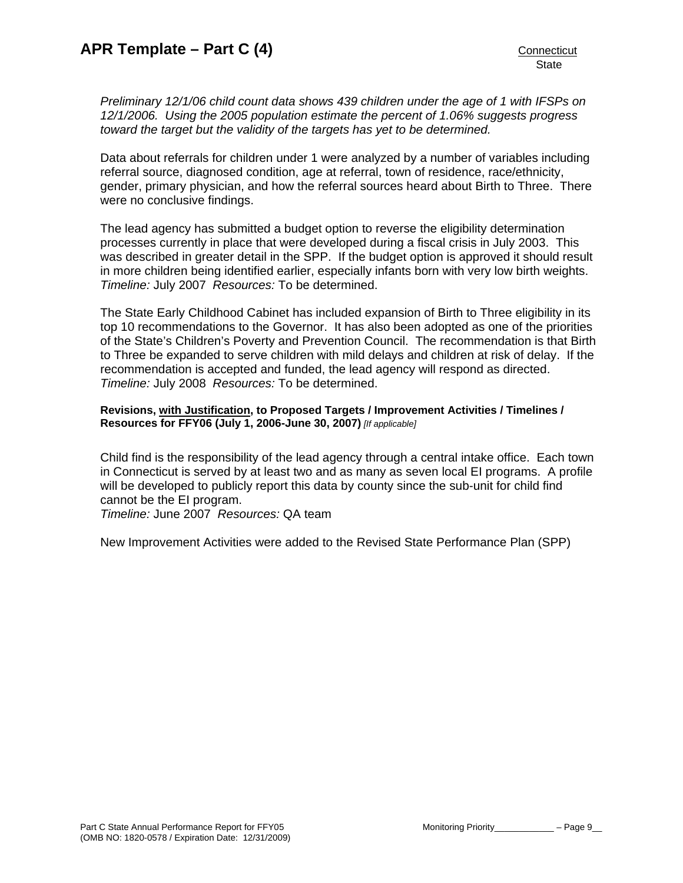*Preliminary 12/1/06 child count data shows 439 children under the age of 1 with IFSPs on 12/1/2006. Using the 2005 population estimate the percent of 1.06% suggests progress toward the target but the validity of the targets has yet to be determined.* 

Data about referrals for children under 1 were analyzed by a number of variables including referral source, diagnosed condition, age at referral, town of residence, race/ethnicity, gender, primary physician, and how the referral sources heard about Birth to Three. There were no conclusive findings.

The lead agency has submitted a budget option to reverse the eligibility determination processes currently in place that were developed during a fiscal crisis in July 2003. This was described in greater detail in the SPP. If the budget option is approved it should result in more children being identified earlier, especially infants born with very low birth weights. *Timeline:* July 2007 *Resources:* To be determined.

The State Early Childhood Cabinet has included expansion of Birth to Three eligibility in its top 10 recommendations to the Governor. It has also been adopted as one of the priorities of the State's Children's Poverty and Prevention Council. The recommendation is that Birth to Three be expanded to serve children with mild delays and children at risk of delay. If the recommendation is accepted and funded, the lead agency will respond as directed. *Timeline:* July 2008 *Resources:* To be determined.

### **Revisions, with Justification, to Proposed Targets / Improvement Activities / Timelines / Resources for FFY06 (July 1, 2006-June 30, 2007)** *[If applicable]*

Child find is the responsibility of the lead agency through a central intake office. Each town in Connecticut is served by at least two and as many as seven local EI programs. A profile will be developed to publicly report this data by county since the sub-unit for child find cannot be the EI program.

*Timeline:* June 2007 *Resources:* QA team

New Improvement Activities were added to the Revised State Performance Plan (SPP)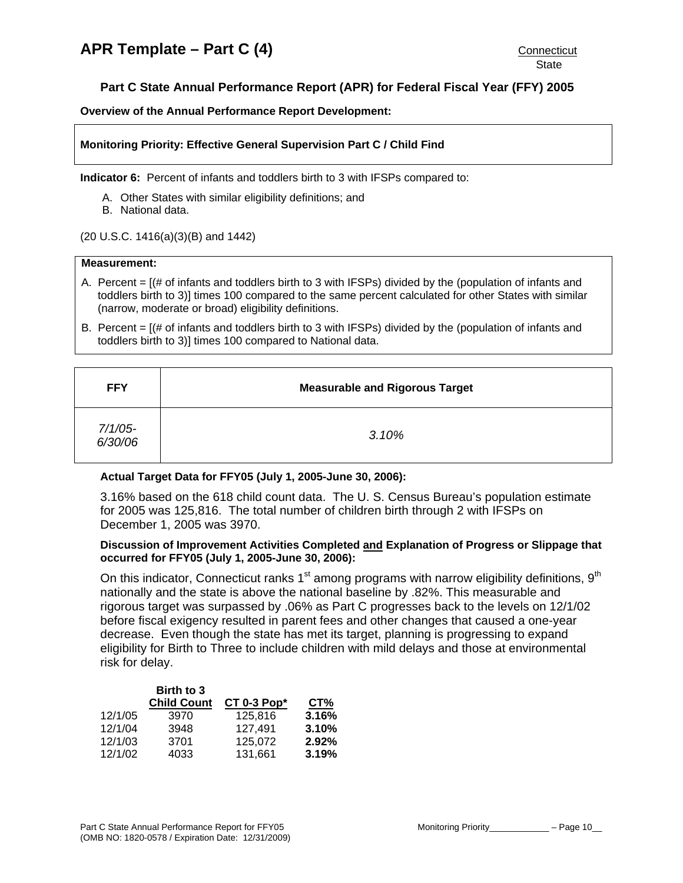<span id="page-9-0"></span>**Overview of the Annual Performance Report Development:** 

#### **Monitoring Priority: Effective General Supervision Part C / Child Find**

**Indicator 6:** Percent of infants and toddlers birth to 3 with IFSPs compared to:

- A. Other States with similar eligibility definitions; and
- B. National data.

(20 U.S.C. 1416(a)(3)(B) and 1442)

#### **Measurement:**

- A. Percent = [(# of infants and toddlers birth to 3 with IFSPs) divided by the (population of infants and toddlers birth to 3)] times 100 compared to the same percent calculated for other States with similar (narrow, moderate or broad) eligibility definitions.
- B. Percent = [(# of infants and toddlers birth to 3 with IFSPs) divided by the (population of infants and toddlers birth to 3)] times 100 compared to National data.

| <b>FFY</b>            | <b>Measurable and Rigorous Target</b> |
|-----------------------|---------------------------------------|
| $7/1/05$ -<br>6/30/06 | 3.10%                                 |

#### **Actual Target Data for FFY05 (July 1, 2005-June 30, 2006):**

3.16% based on the 618 child count data. The U. S. Census Bureau's population estimate for 2005 was 125,816. The total number of children birth through 2 with IFSPs on December 1, 2005 was 3970.

### **Discussion of Improvement Activities Completed and Explanation of Progress or Slippage that occurred for FFY05 (July 1, 2005-June 30, 2006):**

On this indicator, Connecticut ranks  $1<sup>st</sup>$  among programs with narrow eligibility definitions,  $9<sup>th</sup>$ nationally and the state is above the national baseline by .82%. This measurable and rigorous target was surpassed by .06% as Part C progresses back to the levels on 12/1/02 before fiscal exigency resulted in parent fees and other changes that caused a one-year decrease. Even though the state has met its target, planning is progressing to expand eligibility for Birth to Three to include children with mild delays and those at environmental risk for delay.

|         | Birth to 3         |                |       |
|---------|--------------------|----------------|-------|
|         | <b>Child Count</b> | CT 0-3 $Pop^*$ | CT%   |
| 12/1/05 | 3970               | 125.816        | 3.16% |
| 12/1/04 | 3948               | 127,491        | 3.10% |
| 12/1/03 | 3701               | 125.072        | 2.92% |
| 12/1/02 | 4033               | 131,661        | 3.19% |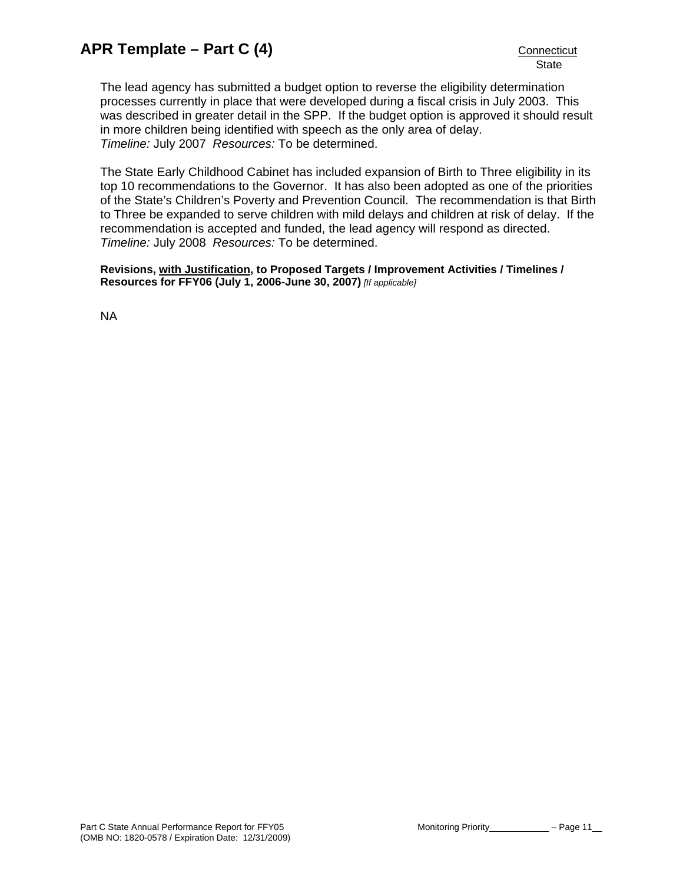The lead agency has submitted a budget option to reverse the eligibility determination processes currently in place that were developed during a fiscal crisis in July 2003. This was described in greater detail in the SPP. If the budget option is approved it should result in more children being identified with speech as the only area of delay. *Timeline:* July 2007 *Resources:* To be determined.

The State Early Childhood Cabinet has included expansion of Birth to Three eligibility in its top 10 recommendations to the Governor. It has also been adopted as one of the priorities of the State's Children's Poverty and Prevention Council. The recommendation is that Birth to Three be expanded to serve children with mild delays and children at risk of delay. If the recommendation is accepted and funded, the lead agency will respond as directed. *Timeline:* July 2008 *Resources:* To be determined.

**Revisions, with Justification, to Proposed Targets / Improvement Activities / Timelines / Resources for FFY06 (July 1, 2006-June 30, 2007)** *[If applicable]*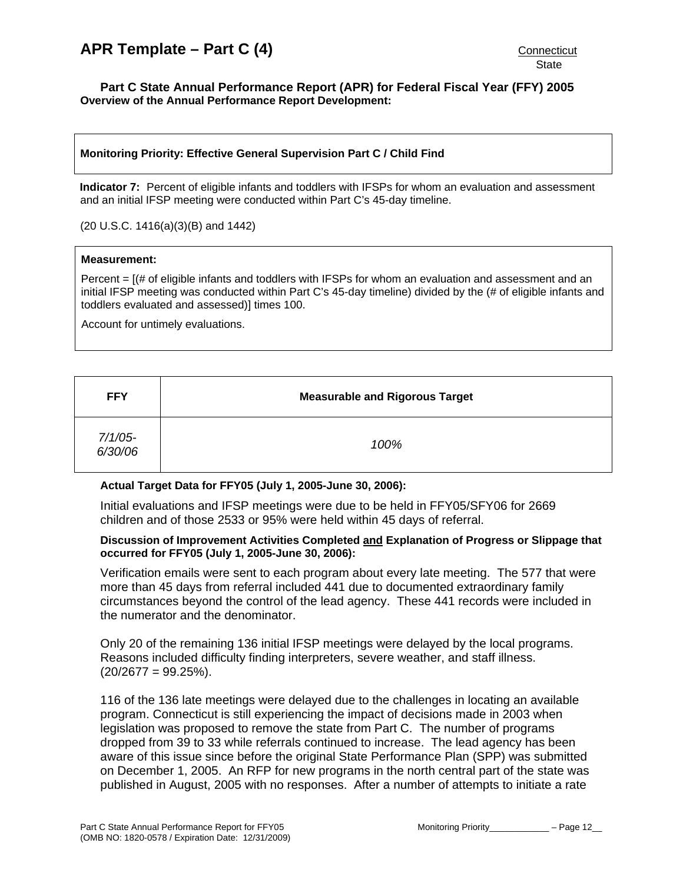#### <span id="page-11-0"></span>**Part C State Annual Performance Report (APR) for Federal Fiscal Year (FFY) 2005 Overview of the Annual Performance Report Development:**

# **Monitoring Priority: Effective General Supervision Part C / Child Find**

**Indicator 7:** Percent of eligible infants and toddlers with IFSPs for whom an evaluation and assessment and an initial IFSP meeting were conducted within Part C's 45-day timeline.

(20 U.S.C. 1416(a)(3)(B) and 1442)

#### **Measurement:**

Percent = [(# of eligible infants and toddlers with IFSPs for whom an evaluation and assessment and an initial IFSP meeting was conducted within Part C's 45-day timeline) divided by the (# of eligible infants and toddlers evaluated and assessed)] times 100.

Account for untimely evaluations.

| <b>FFY</b>         | <b>Measurable and Rigorous Target</b> |
|--------------------|---------------------------------------|
| 7/1/05-<br>6/30/06 | 100%                                  |

#### **Actual Target Data for FFY05 (July 1, 2005-June 30, 2006):**

Initial evaluations and IFSP meetings were due to be held in FFY05/SFY06 for 2669 children and of those 2533 or 95% were held within 45 days of referral.

#### **Discussion of Improvement Activities Completed and Explanation of Progress or Slippage that occurred for FFY05 (July 1, 2005-June 30, 2006):**

Verification emails were sent to each program about every late meeting. The 577 that were more than 45 days from referral included 441 due to documented extraordinary family circumstances beyond the control of the lead agency. These 441 records were included in the numerator and the denominator.

Only 20 of the remaining 136 initial IFSP meetings were delayed by the local programs. Reasons included difficulty finding interpreters, severe weather, and staff illness.  $(20/2677 = 99.25\%)$ .

116 of the 136 late meetings were delayed due to the challenges in locating an available program. Connecticut is still experiencing the impact of decisions made in 2003 when legislation was proposed to remove the state from Part C. The number of programs dropped from 39 to 33 while referrals continued to increase. The lead agency has been aware of this issue since before the original State Performance Plan (SPP) was submitted on December 1, 2005. An RFP for new programs in the north central part of the state was published in August, 2005 with no responses. After a number of attempts to initiate a rate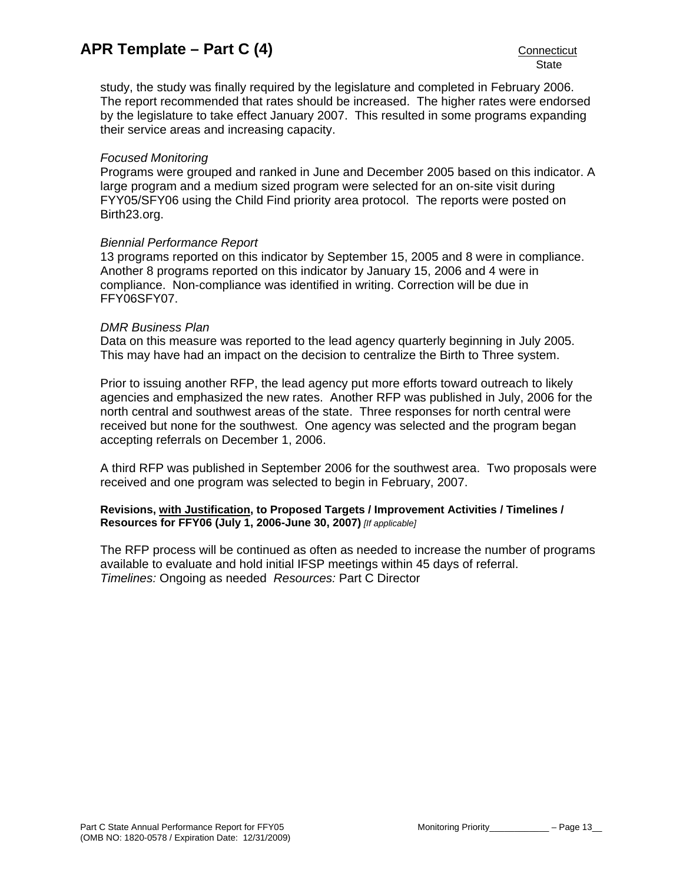study, the study was finally required by the legislature and completed in February 2006. The report recommended that rates should be increased. The higher rates were endorsed by the legislature to take effect January 2007. This resulted in some programs expanding their service areas and increasing capacity.

# *Focused Monitoring*

Programs were grouped and ranked in June and December 2005 based on this indicator. A large program and a medium sized program were selected for an on-site visit during FYY05/SFY06 using the Child Find priority area protocol. The reports were posted on Birth23.org.

### *Biennial Performance Report*

13 programs reported on this indicator by September 15, 2005 and 8 were in compliance. Another 8 programs reported on this indicator by January 15, 2006 and 4 were in compliance. Non-compliance was identified in writing. Correction will be due in FFY06SFY07.

### *DMR Business Plan*

Data on this measure was reported to the lead agency quarterly beginning in July 2005. This may have had an impact on the decision to centralize the Birth to Three system.

Prior to issuing another RFP, the lead agency put more efforts toward outreach to likely agencies and emphasized the new rates. Another RFP was published in July, 2006 for the north central and southwest areas of the state. Three responses for north central were received but none for the southwest. One agency was selected and the program began accepting referrals on December 1, 2006.

A third RFP was published in September 2006 for the southwest area. Two proposals were received and one program was selected to begin in February, 2007.

### **Revisions, with Justification, to Proposed Targets / Improvement Activities / Timelines / Resources for FFY06 (July 1, 2006-June 30, 2007)** *[If applicable]*

The RFP process will be continued as often as needed to increase the number of programs available to evaluate and hold initial IFSP meetings within 45 days of referral. *Timelines:* Ongoing as needed *Resources:* Part C Director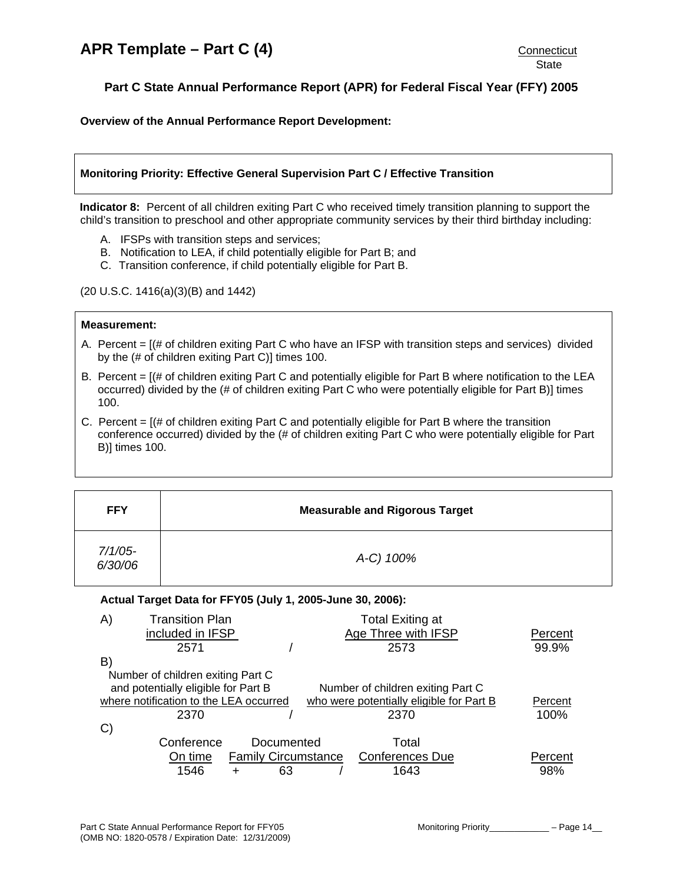<span id="page-13-0"></span>**Overview of the Annual Performance Report Development:** 

# **Monitoring Priority: Effective General Supervision Part C / Effective Transition**

**Indicator 8:** Percent of all children exiting Part C who received timely transition planning to support the child's transition to preschool and other appropriate community services by their third birthday including:

- A. IFSPs with transition steps and services;
- B. Notification to LEA, if child potentially eligible for Part B; and
- C. Transition conference, if child potentially eligible for Part B.

(20 U.S.C. 1416(a)(3)(B) and 1442)

#### **Measurement:**

- A. Percent = [(# of children exiting Part C who have an IFSP with transition steps and services) divided by the (# of children exiting Part C)] times 100.
- B. Percent = [(# of children exiting Part C and potentially eligible for Part B where notification to the LEA occurred) divided by the (# of children exiting Part C who were potentially eligible for Part B)] times 100.
- C. Percent  $=$  [ $#$  of children exiting Part C and potentially eligible for Part B where the transition conference occurred) divided by the (# of children exiting Part C who were potentially eligible for Part B)] times 100.

| <b>FFY</b>            | <b>Measurable and Rigorous Target</b> |
|-----------------------|---------------------------------------|
| $7/1/05$ -<br>6/30/06 | A-C) 100%                             |

#### **Actual Target Data for FFY05 (July 1, 2005-June 30, 2006):**

| A)           | <b>Transition Plan</b>                 |                            | <b>Total Exiting at</b>                  |         |
|--------------|----------------------------------------|----------------------------|------------------------------------------|---------|
|              | included in IFSP                       |                            | Age Three with IFSP                      | Percent |
|              | 2571                                   |                            | 2573                                     | 99.9%   |
| B)           |                                        |                            |                                          |         |
|              | Number of children exiting Part C      |                            |                                          |         |
|              | and potentially eligible for Part B    |                            | Number of children exiting Part C        |         |
|              | where notification to the LEA occurred |                            | who were potentially eligible for Part B | Percent |
|              | 2370                                   |                            | 2370                                     | 100%    |
| $\mathbf{C}$ |                                        |                            |                                          |         |
|              | Conference                             | Documented                 | Total                                    |         |
|              | On time                                | <b>Family Circumstance</b> | <b>Conferences Due</b>                   | Percent |
|              | 1546                                   | 63                         | 1643                                     | 98%     |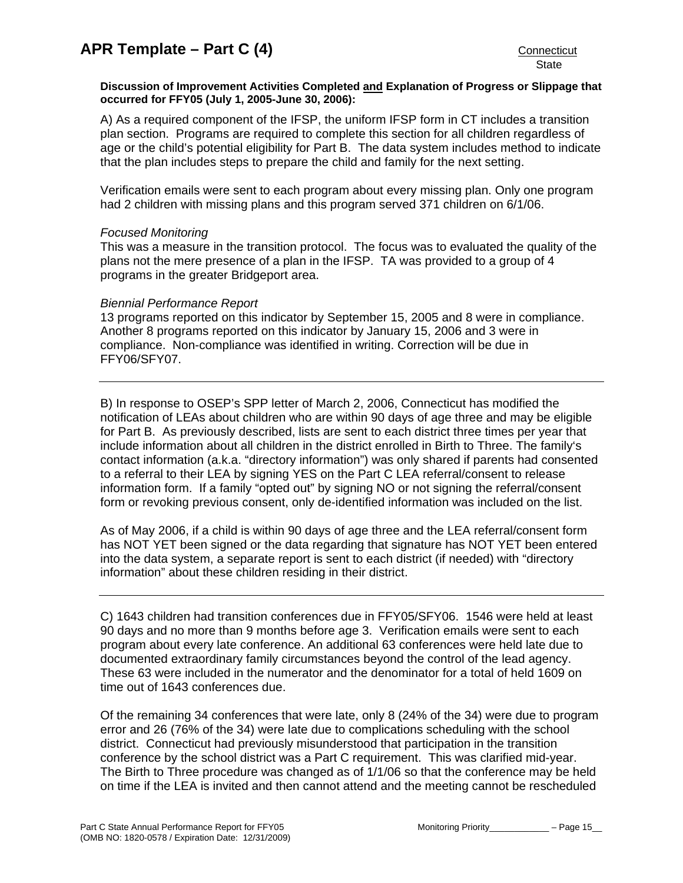# **Discussion of Improvement Activities Completed and Explanation of Progress or Slippage that occurred for FFY05 (July 1, 2005-June 30, 2006):**

A) As a required component of the IFSP, the uniform IFSP form in CT includes a transition plan section. Programs are required to complete this section for all children regardless of age or the child's potential eligibility for Part B. The data system includes method to indicate that the plan includes steps to prepare the child and family for the next setting.

Verification emails were sent to each program about every missing plan. Only one program had 2 children with missing plans and this program served 371 children on 6/1/06.

# *Focused Monitoring*

This was a measure in the transition protocol. The focus was to evaluated the quality of the plans not the mere presence of a plan in the IFSP. TA was provided to a group of 4 programs in the greater Bridgeport area.

# *Biennial Performance Report*

13 programs reported on this indicator by September 15, 2005 and 8 were in compliance. Another 8 programs reported on this indicator by January 15, 2006 and 3 were in compliance. Non-compliance was identified in writing. Correction will be due in FFY06/SFY07.

B) In response to OSEP's SPP letter of March 2, 2006, Connecticut has modified the notification of LEAs about children who are within 90 days of age three and may be eligible for Part B. As previously described, lists are sent to each district three times per year that include information about all children in the district enrolled in Birth to Three. The family's contact information (a.k.a. "directory information") was only shared if parents had consented to a referral to their LEA by signing YES on the Part C LEA referral/consent to release information form. If a family "opted out" by signing NO or not signing the referral/consent form or revoking previous consent, only de-identified information was included on the list.

As of May 2006, if a child is within 90 days of age three and the LEA referral/consent form has NOT YET been signed or the data regarding that signature has NOT YET been entered into the data system, a separate report is sent to each district (if needed) with "directory information" about these children residing in their district.

C) 1643 children had transition conferences due in FFY05/SFY06. 1546 were held at least 90 days and no more than 9 months before age 3. Verification emails were sent to each program about every late conference. An additional 63 conferences were held late due to documented extraordinary family circumstances beyond the control of the lead agency. These 63 were included in the numerator and the denominator for a total of held 1609 on time out of 1643 conferences due.

Of the remaining 34 conferences that were late, only 8 (24% of the 34) were due to program error and 26 (76% of the 34) were late due to complications scheduling with the school district. Connecticut had previously misunderstood that participation in the transition conference by the school district was a Part C requirement. This was clarified mid-year. The Birth to Three procedure was changed as of 1/1/06 so that the conference may be held on time if the LEA is invited and then cannot attend and the meeting cannot be rescheduled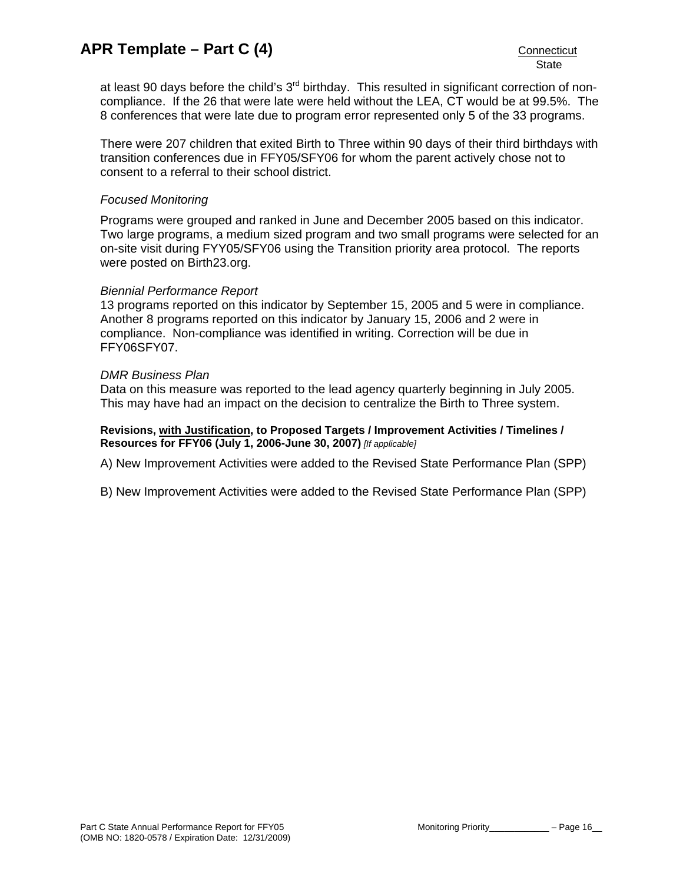at least 90 days before the child's 3<sup>rd</sup> birthday. This resulted in significant correction of noncompliance. If the 26 that were late were held without the LEA, CT would be at 99.5%. The 8 conferences that were late due to program error represented only 5 of the 33 programs.

There were 207 children that exited Birth to Three within 90 days of their third birthdays with transition conferences due in FFY05/SFY06 for whom the parent actively chose not to consent to a referral to their school district.

# *Focused Monitoring*

Programs were grouped and ranked in June and December 2005 based on this indicator. Two large programs, a medium sized program and two small programs were selected for an on-site visit during FYY05/SFY06 using the Transition priority area protocol. The reports were posted on Birth23.org.

# *Biennial Performance Report*

13 programs reported on this indicator by September 15, 2005 and 5 were in compliance. Another 8 programs reported on this indicator by January 15, 2006 and 2 were in compliance. Non-compliance was identified in writing. Correction will be due in FFY06SFY07.

# *DMR Business Plan*

Data on this measure was reported to the lead agency quarterly beginning in July 2005. This may have had an impact on the decision to centralize the Birth to Three system.

# **Revisions, with Justification, to Proposed Targets / Improvement Activities / Timelines / Resources for FFY06 (July 1, 2006-June 30, 2007)** *[If applicable]*

A) New Improvement Activities were added to the Revised State Performance Plan (SPP)

B) New Improvement Activities were added to the Revised State Performance Plan (SPP)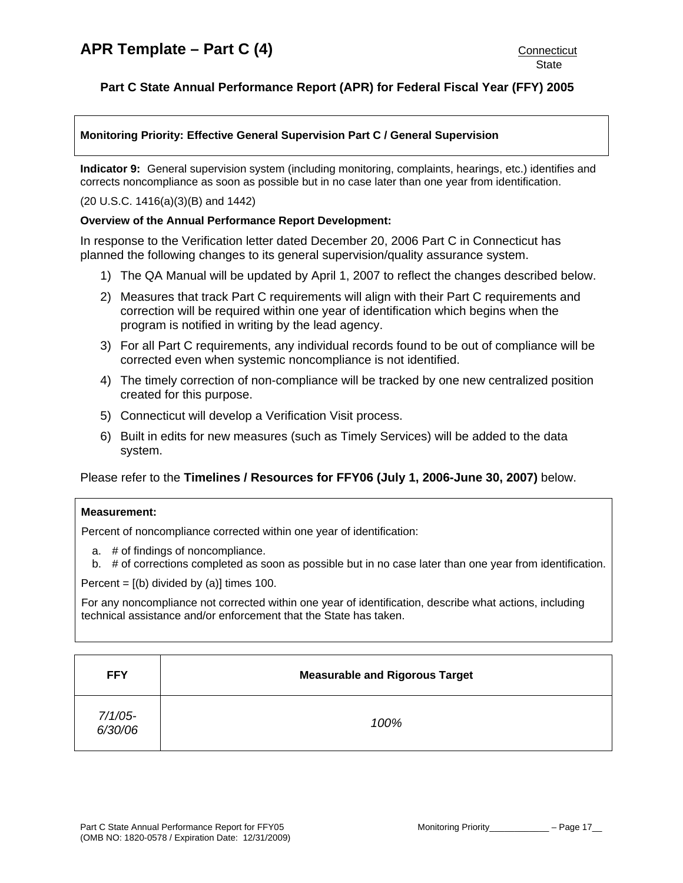# <span id="page-16-0"></span>**Monitoring Priority: Effective General Supervision Part C / General Supervision**

**Indicator 9:** General supervision system (including monitoring, complaints, hearings, etc.) identifies and corrects noncompliance as soon as possible but in no case later than one year from identification.

#### (20 U.S.C. 1416(a)(3)(B) and 1442)

### **Overview of the Annual Performance Report Development:**

In response to the Verification letter dated December 20, 2006 Part C in Connecticut has planned the following changes to its general supervision/quality assurance system.

- 1) The QA Manual will be updated by April 1, 2007 to reflect the changes described below.
- 2) Measures that track Part C requirements will align with their Part C requirements and correction will be required within one year of identification which begins when the program is notified in writing by the lead agency.
- 3) For all Part C requirements, any individual records found to be out of compliance will be corrected even when systemic noncompliance is not identified.
- 4) The timely correction of non-compliance will be tracked by one new centralized position created for this purpose.
- 5) Connecticut will develop a Verification Visit process.
- 6) Built in edits for new measures (such as Timely Services) will be added to the data system.

# Please refer to the **Timelines / Resources for FFY06 (July 1, 2006-June 30, 2007)** below.

#### **Measurement:**

Percent of noncompliance corrected within one year of identification:

- a. # of findings of noncompliance.
- b. # of corrections completed as soon as possible but in no case later than one year from identification.

Percent =  $[(b)$  divided by  $(a)]$  times 100.

For any noncompliance not corrected within one year of identification, describe what actions, including technical assistance and/or enforcement that the State has taken.

| <b>FFY</b>         | <b>Measurable and Rigorous Target</b> |
|--------------------|---------------------------------------|
| 7/1/05-<br>6/30/06 | 100%                                  |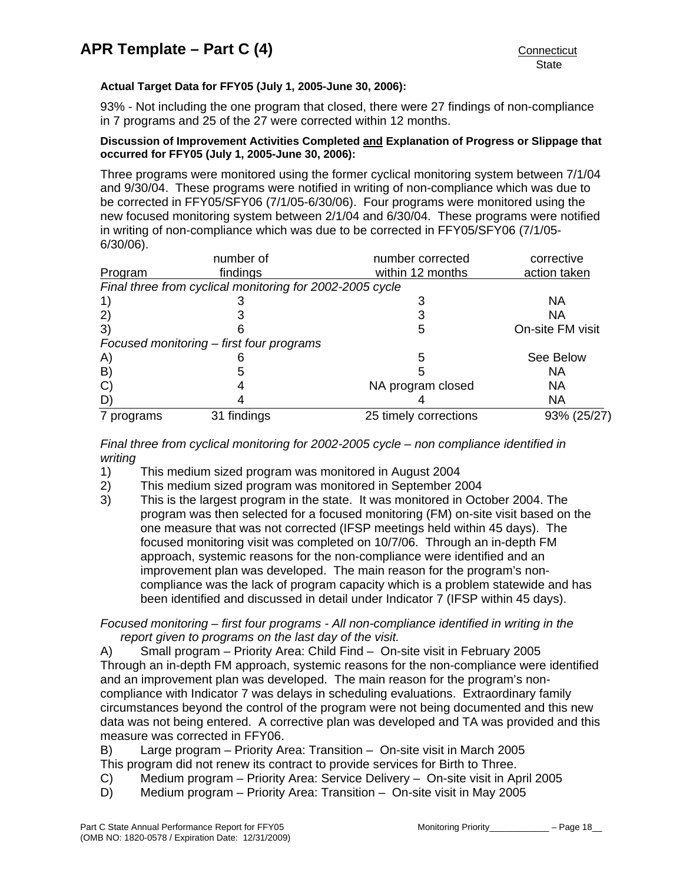# **Actual Target Data for FFY05 (July 1, 2005-June 30, 2006):**

93% - Not including the one program that closed, there were 27 findings of non-compliance in 7 programs and 25 of the 27 were corrected within 12 months.

# **Discussion of Improvement Activities Completed and Explanation of Progress or Slippage that occurred for FFY05 (July 1, 2005-June 30, 2006):**

Three programs were monitored using the former cyclical monitoring system between 7/1/04 and 9/30/04. These programs were notified in writing of non-compliance which was due to be corrected in FFY05/SFY06 (7/1/05-6/30/06). Four programs were monitored using the new focused monitoring system between 2/1/04 and 6/30/04. These programs were notified in writing of non-compliance which was due to be corrected in FFY05/SFY06 (7/1/05- 6/30/06).

|                   | number of                                                | number corrected      | corrective       |
|-------------------|----------------------------------------------------------|-----------------------|------------------|
| Program           | findings                                                 | within 12 months      | action taken     |
|                   | Final three from cyclical monitoring for 2002-2005 cycle |                       |                  |
|                   |                                                          |                       | <b>NA</b>        |
| (2)               |                                                          |                       | NA               |
| 3)                |                                                          | 5                     | On-site FM visit |
|                   | Focused monitoring – first four programs                 |                       |                  |
| A)                |                                                          | 5                     | See Below        |
| $\vert B \rangle$ |                                                          |                       | NA               |
| $\mathbf{C}$      |                                                          | NA program closed     | NA               |
| D                 |                                                          |                       | <b>NA</b>        |
| 7 programs        | 31 findings                                              | 25 timely corrections | 93% (25/27)      |

*Final three from cyclical monitoring for 2002-2005 cycle – non compliance identified in writing* 

- 1) This medium sized program was monitored in August 2004
- 2) This medium sized program was monitored in September 2004
- 3) This is the largest program in the state. It was monitored in October 2004. The program was then selected for a focused monitoring (FM) on-site visit based on the one measure that was not corrected (IFSP meetings held within 45 days). The focused monitoring visit was completed on 10/7/06. Through an in-depth FM approach, systemic reasons for the non-compliance were identified and an improvement plan was developed. The main reason for the program's noncompliance was the lack of program capacity which is a problem statewide and has been identified and discussed in detail under Indicator 7 (IFSP within 45 days).

*Focused monitoring – first four programs - All non-compliance identified in writing in the report given to programs on the last day of the visit.* 

A) Small program – Priority Area: Child Find – On-site visit in February 2005 Through an in-depth FM approach, systemic reasons for the non-compliance were identified and an improvement plan was developed. The main reason for the program's noncompliance with Indicator 7 was delays in scheduling evaluations. Extraordinary family circumstances beyond the control of the program were not being documented and this new data was not being entered. A corrective plan was developed and TA was provided and this measure was corrected in FFY06.

B) Large program – Priority Area: Transition – On-site visit in March 2005 This program did not renew its contract to provide services for Birth to Three.

- C) Medium program Priority Area: Service Delivery On-site visit in April 2005
- D) Medium program Priority Area: Transition On-site visit in May 2005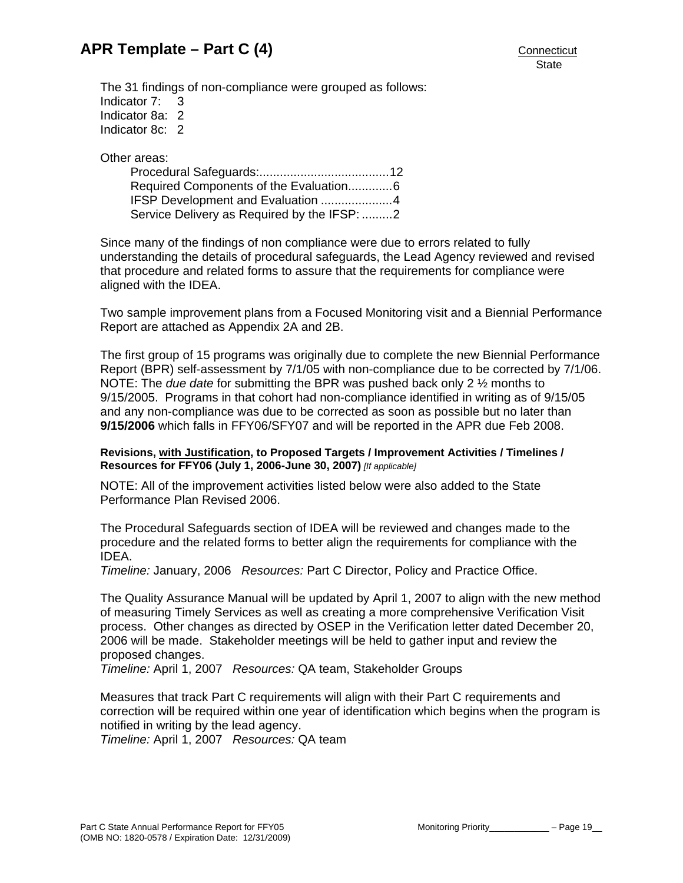The 31 findings of non-compliance were grouped as follows: Indicator 7: 3 Indicator 8a: 2 Indicator 8c: 2

Other areas:

| Required Components of the Evaluation6      |  |
|---------------------------------------------|--|
| IFSP Development and Evaluation 4           |  |
| Service Delivery as Required by the IFSP: 2 |  |

Since many of the findings of non compliance were due to errors related to fully understanding the details of procedural safeguards, the Lead Agency reviewed and revised that procedure and related forms to assure that the requirements for compliance were aligned with the IDEA.

Two sample improvement plans from a Focused Monitoring visit and a Biennial Performance Report are attached as Appendix 2A and 2B.

The first group of 15 programs was originally due to complete the new Biennial Performance Report (BPR) self-assessment by 7/1/05 with non-compliance due to be corrected by 7/1/06. NOTE: The *due date* for submitting the BPR was pushed back only 2 ½ months to 9/15/2005. Programs in that cohort had non-compliance identified in writing as of 9/15/05 and any non-compliance was due to be corrected as soon as possible but no later than **9/15/2006** which falls in FFY06/SFY07 and will be reported in the APR due Feb 2008.

### **Revisions, with Justification, to Proposed Targets / Improvement Activities / Timelines / Resources for FFY06 (July 1, 2006-June 30, 2007)** *[If applicable]*

NOTE: All of the improvement activities listed below were also added to the State Performance Plan Revised 2006.

The Procedural Safeguards section of IDEA will be reviewed and changes made to the procedure and the related forms to better align the requirements for compliance with the IDEA.

*Timeline:* January, 2006 *Resources:* Part C Director, Policy and Practice Office.

The Quality Assurance Manual will be updated by April 1, 2007 to align with the new method of measuring Timely Services as well as creating a more comprehensive Verification Visit process. Other changes as directed by OSEP in the Verification letter dated December 20, 2006 will be made. Stakeholder meetings will be held to gather input and review the proposed changes.

*Timeline:* April 1, 2007 *Resources:* QA team, Stakeholder Groups

Measures that track Part C requirements will align with their Part C requirements and correction will be required within one year of identification which begins when the program is notified in writing by the lead agency.

*Timeline:* April 1, 2007 *Resources:* QA team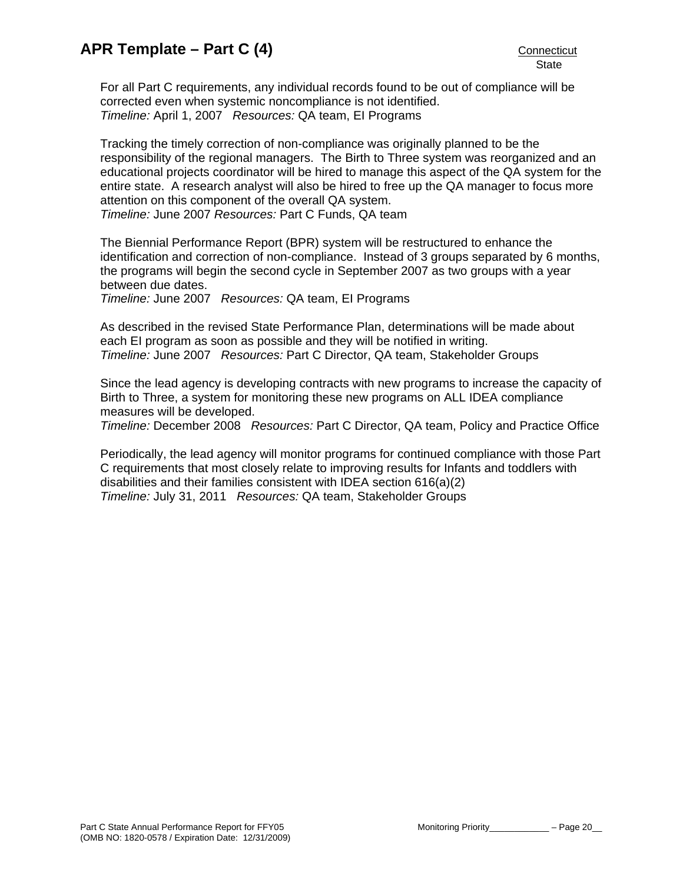For all Part C requirements, any individual records found to be out of compliance will be corrected even when systemic noncompliance is not identified. *Timeline:* April 1, 2007 *Resources:* QA team, EI Programs

Tracking the timely correction of non-compliance was originally planned to be the responsibility of the regional managers. The Birth to Three system was reorganized and an educational projects coordinator will be hired to manage this aspect of the QA system for the entire state. A research analyst will also be hired to free up the QA manager to focus more attention on this component of the overall QA system. *Timeline:* June 2007 *Resources:* Part C Funds, QA team

The Biennial Performance Report (BPR) system will be restructured to enhance the identification and correction of non-compliance. Instead of 3 groups separated by 6 months, the programs will begin the second cycle in September 2007 as two groups with a year between due dates.

*Timeline:* June 2007 *Resources:* QA team, EI Programs

As described in the revised State Performance Plan, determinations will be made about each EI program as soon as possible and they will be notified in writing. *Timeline:* June 2007 *Resources:* Part C Director, QA team, Stakeholder Groups

Since the lead agency is developing contracts with new programs to increase the capacity of Birth to Three, a system for monitoring these new programs on ALL IDEA compliance measures will be developed.

*Timeline:* December 2008 *Resources:* Part C Director, QA team, Policy and Practice Office

Periodically, the lead agency will monitor programs for continued compliance with those Part C requirements that most closely relate to improving results for Infants and toddlers with disabilities and their families consistent with IDEA section 616(a)(2) *Timeline:* July 31, 2011 *Resources:* QA team, Stakeholder Groups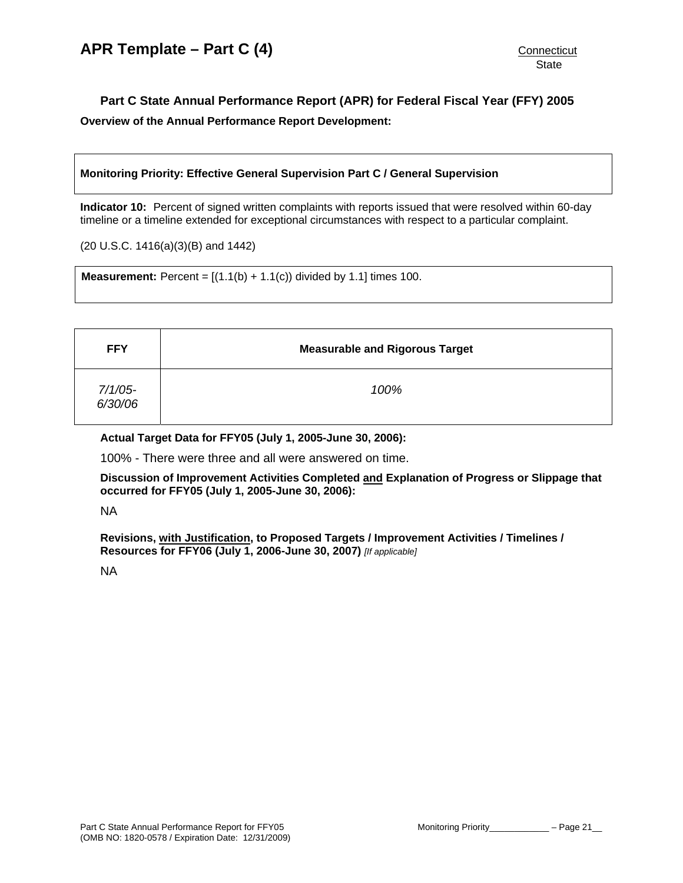# <span id="page-20-0"></span>**Part C State Annual Performance Report (APR) for Federal Fiscal Year (FFY) 2005 Overview of the Annual Performance Report Development:**

# **Monitoring Priority: Effective General Supervision Part C / General Supervision**

**Indicator 10:** Percent of signed written complaints with reports issued that were resolved within 60-day timeline or a timeline extended for exceptional circumstances with respect to a particular complaint.

(20 U.S.C. 1416(a)(3)(B) and 1442)

**Measurement:** Percent =  $[(1.1(b) + 1.1(c))$  divided by 1.1] times 100.

| <b>FFY</b>            | <b>Measurable and Rigorous Target</b> |
|-----------------------|---------------------------------------|
| $7/1/05$ -<br>6/30/06 | 100%                                  |

**Actual Target Data for FFY05 (July 1, 2005-June 30, 2006):** 

100% - There were three and all were answered on time.

**Discussion of Improvement Activities Completed and Explanation of Progress or Slippage that occurred for FFY05 (July 1, 2005-June 30, 2006):** 

NA

**Revisions, with Justification, to Proposed Targets / Improvement Activities / Timelines / Resources for FFY06 (July 1, 2006-June 30, 2007)** *[If applicable]*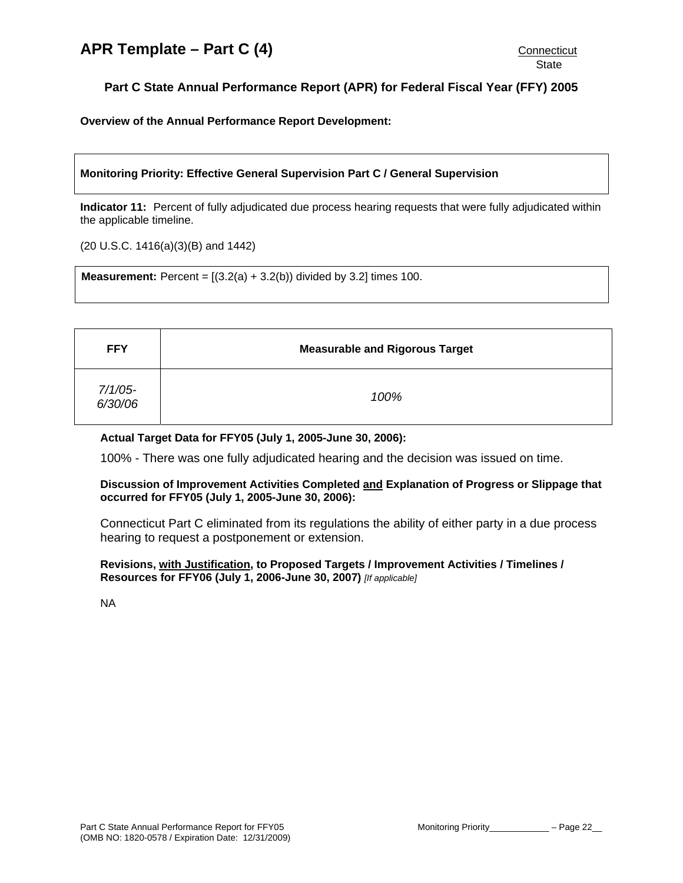<span id="page-21-0"></span>**Overview of the Annual Performance Report Development:** 

# **Monitoring Priority: Effective General Supervision Part C / General Supervision**

**Indicator 11:** Percent of fully adjudicated due process hearing requests that were fully adjudicated within the applicable timeline.

(20 U.S.C. 1416(a)(3)(B) and 1442)

**Measurement:** Percent =  $[(3.2(a) + 3.2(b))$  divided by 3.2] times 100.

| <b>FFY</b>         | <b>Measurable and Rigorous Target</b> |
|--------------------|---------------------------------------|
| 7/1/05-<br>6/30/06 | 100%                                  |

#### **Actual Target Data for FFY05 (July 1, 2005-June 30, 2006):**

100% - There was one fully adjudicated hearing and the decision was issued on time.

#### **Discussion of Improvement Activities Completed and Explanation of Progress or Slippage that occurred for FFY05 (July 1, 2005-June 30, 2006):**

Connecticut Part C eliminated from its regulations the ability of either party in a due process hearing to request a postponement or extension.

# **Revisions, with Justification, to Proposed Targets / Improvement Activities / Timelines / Resources for FFY06 (July 1, 2006-June 30, 2007)** *[If applicable]*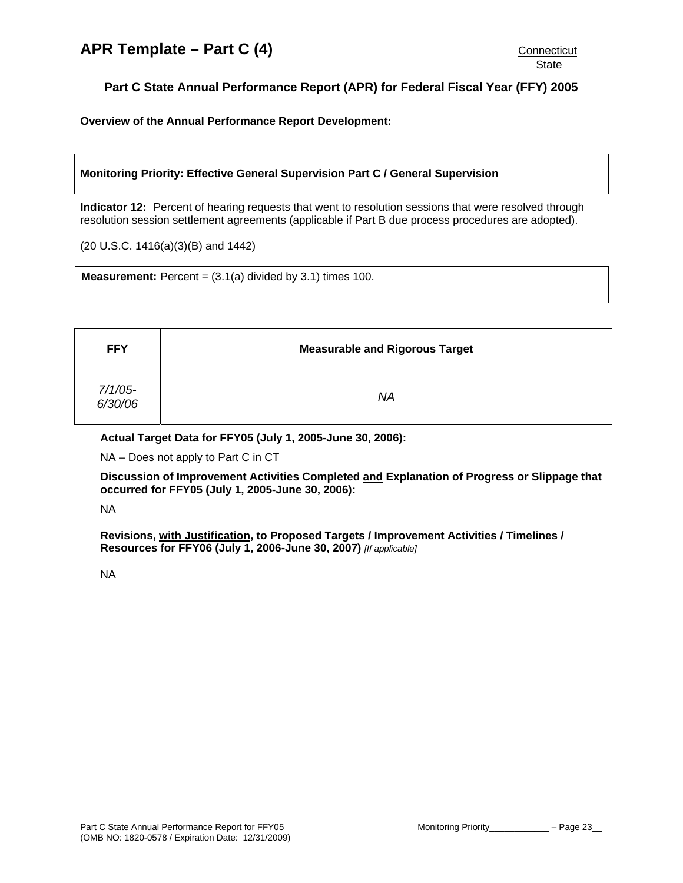<span id="page-22-0"></span>**Overview of the Annual Performance Report Development:** 

# **Monitoring Priority: Effective General Supervision Part C / General Supervision**

**Indicator 12:** Percent of hearing requests that went to resolution sessions that were resolved through resolution session settlement agreements (applicable if Part B due process procedures are adopted).

(20 U.S.C. 1416(a)(3)(B) and 1442)

**Measurement:** Percent =  $(3.1(a)$  divided by  $3.1$ ) times  $100$ .

| <b>FFY</b>            | <b>Measurable and Rigorous Target</b> |
|-----------------------|---------------------------------------|
| $7/1/05$ -<br>6/30/06 | <b>NA</b>                             |

**Actual Target Data for FFY05 (July 1, 2005-June 30, 2006):** 

NA – Does not apply to Part C in CT

**Discussion of Improvement Activities Completed and Explanation of Progress or Slippage that occurred for FFY05 (July 1, 2005-June 30, 2006):** 

NA

**Revisions, with Justification, to Proposed Targets / Improvement Activities / Timelines / Resources for FFY06 (July 1, 2006-June 30, 2007)** *[If applicable]*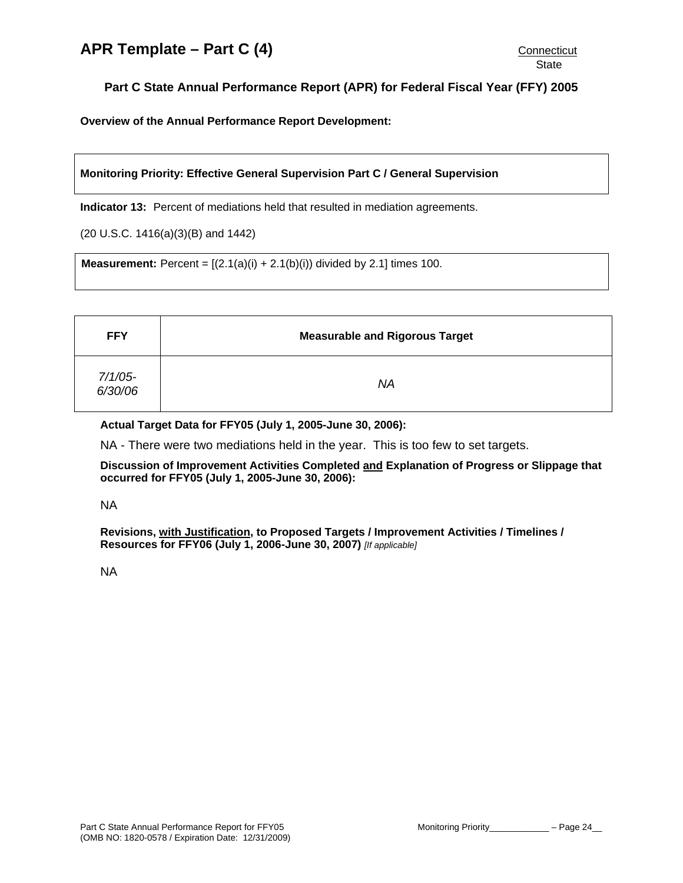<span id="page-23-0"></span>**Overview of the Annual Performance Report Development:** 

**Monitoring Priority: Effective General Supervision Part C / General Supervision** 

**Indicator 13:** Percent of mediations held that resulted in mediation agreements.

(20 U.S.C. 1416(a)(3)(B) and 1442)

**Measurement:** Percent =  $[(2.1(a)(i) + 2.1(b)(i))$  divided by 2.1] times 100.

| <b>FFY</b>         | <b>Measurable and Rigorous Target</b> |
|--------------------|---------------------------------------|
| 7/1/05-<br>6/30/06 | <b>NA</b>                             |

# **Actual Target Data for FFY05 (July 1, 2005-June 30, 2006):**

NA - There were two mediations held in the year. This is too few to set targets.

**Discussion of Improvement Activities Completed and Explanation of Progress or Slippage that occurred for FFY05 (July 1, 2005-June 30, 2006):** 

NA

**Revisions, with Justification, to Proposed Targets / Improvement Activities / Timelines / Resources for FFY06 (July 1, 2006-June 30, 2007)** *[If applicable]*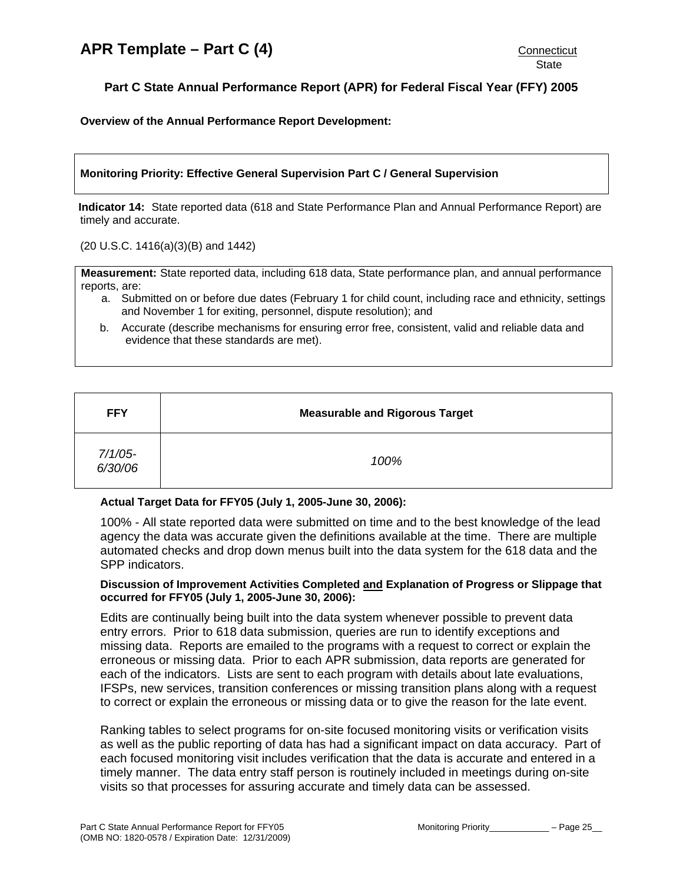**Overview of the Annual Performance Report Development:** 

# **Monitoring Priority: Effective General Supervision Part C / General Supervision**

**Indicator 14:** State reported data (618 and State Performance Plan and Annual Performance Report) are timely and accurate.

(20 U.S.C. 1416(a)(3)(B) and 1442)

**Measurement:** State reported data, including 618 data, State performance plan, and annual performance reports, are:

- a. Submitted on or before due dates (February 1 for child count, including race and ethnicity, settings and November 1 for exiting, personnel, dispute resolution); and
- b. Accurate (describe mechanisms for ensuring error free, consistent, valid and reliable data and evidence that these standards are met).

| <b>FFY</b>         | <b>Measurable and Rigorous Target</b> |
|--------------------|---------------------------------------|
| 7/1/05-<br>6/30/06 | 100%                                  |

#### **Actual Target Data for FFY05 (July 1, 2005-June 30, 2006):**

100% - All state reported data were submitted on time and to the best knowledge of the lead agency the data was accurate given the definitions available at the time. There are multiple automated checks and drop down menus built into the data system for the 618 data and the SPP indicators.

# **Discussion of Improvement Activities Completed and Explanation of Progress or Slippage that occurred for FFY05 (July 1, 2005-June 30, 2006):**

Edits are continually being built into the data system whenever possible to prevent data entry errors. Prior to 618 data submission, queries are run to identify exceptions and missing data. Reports are emailed to the programs with a request to correct or explain the erroneous or missing data. Prior to each APR submission, data reports are generated for each of the indicators. Lists are sent to each program with details about late evaluations, IFSPs, new services, transition conferences or missing transition plans along with a request to correct or explain the erroneous or missing data or to give the reason for the late event.

Ranking tables to select programs for on-site focused monitoring visits or verification visits as well as the public reporting of data has had a significant impact on data accuracy. Part of each focused monitoring visit includes verification that the data is accurate and entered in a timely manner. The data entry staff person is routinely included in meetings during on-site visits so that processes for assuring accurate and timely data can be assessed.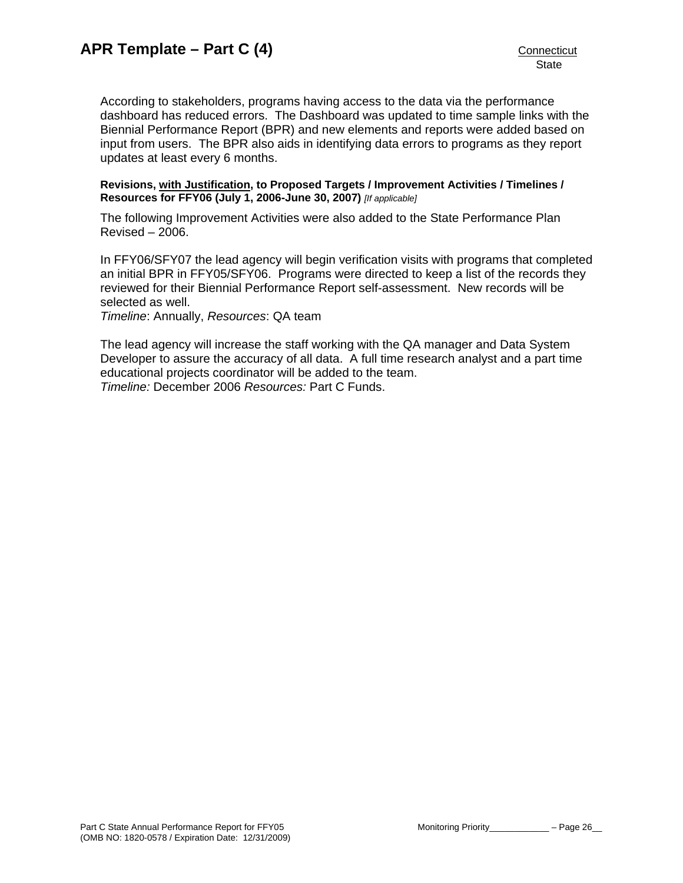According to stakeholders, programs having access to the data via the performance dashboard has reduced errors. The Dashboard was updated to time sample links with the Biennial Performance Report (BPR) and new elements and reports were added based on input from users. The BPR also aids in identifying data errors to programs as they report updates at least every 6 months.

**Revisions, with Justification, to Proposed Targets / Improvement Activities / Timelines / Resources for FFY06 (July 1, 2006-June 30, 2007)** *[If applicable]*

The following Improvement Activities were also added to the State Performance Plan Revised – 2006.

In FFY06/SFY07 the lead agency will begin verification visits with programs that completed an initial BPR in FFY05/SFY06. Programs were directed to keep a list of the records they reviewed for their Biennial Performance Report self-assessment. New records will be selected as well.

*Timeline*: Annually, *Resources*: QA team

The lead agency will increase the staff working with the QA manager and Data System Developer to assure the accuracy of all data. A full time research analyst and a part time educational projects coordinator will be added to the team. *Timeline:* December 2006 *Resources:* Part C Funds.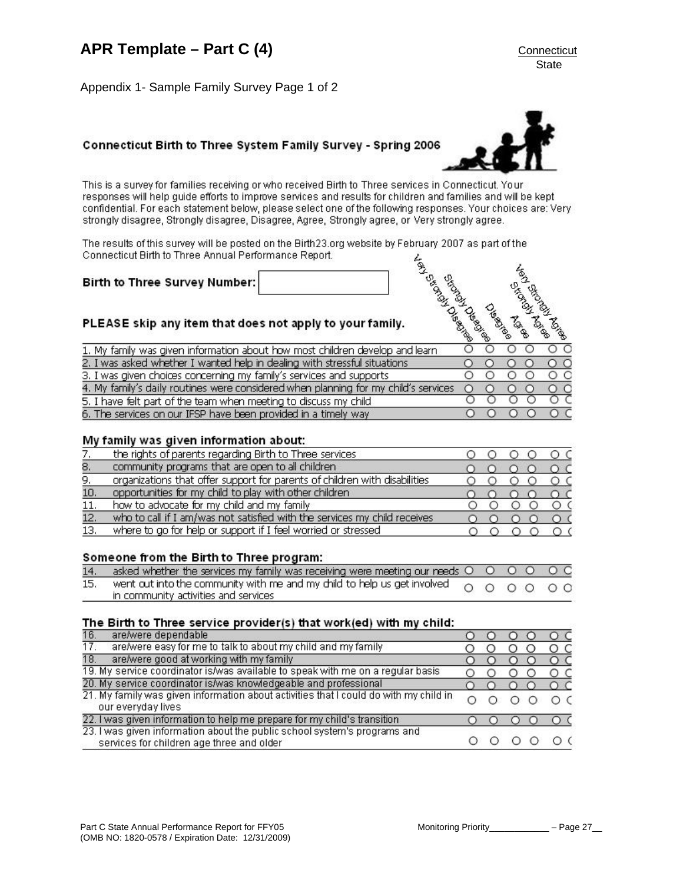<span id="page-26-0"></span>Appendix 1- Sample Family Survey Page 1 of 2

# Connecticut Birth to Three System Family Survey - Spring 2006

This is a survey for families receiving or who received Birth to Three services in Connecticut. Your responses will help guide efforts to improve services and results for children and families and will be kept confidential. For each statement below, please select one of the following responses. Your choices are: Very strongly disagree, Strongly disagree, Disagree, Agree, Strongly agree, or Very strongly agree.

The results of this survey will be posted on the Birth 23.org website by February 2007 as part of the Connecticut Birth to Three Annual Performance Report.

Birth to Three Survey Number:

# PLEASE skip any item that does not apply to your family.

| PLEASE skip any item that does not apply to your family.                            | <b>Canada</b> | Calgateral<br>Մ. | <b>BIGO</b><br>a<br>E | <b>Branch</b>   |
|-------------------------------------------------------------------------------------|---------------|------------------|-----------------------|-----------------|
| 1. My family was given information about how most children develop and learn        |               |                  |                       | DΟ              |
| 2. I was asked whether I wanted help in dealing with stressful situations           |               |                  |                       | $\circ$         |
| 3. I was given choices concerning my family's services and supports                 |               |                  |                       | $\circ$ $\circ$ |
| 4. My family's daily routines were considered when planning for my child's services |               |                  |                       | DС              |
| 5. I have felt part of the team when meeting to discuss my child                    |               |                  |                       | ЭC              |
| 6. The services on our IFSP have been provided in a timely way                      |               |                  |                       |                 |

### My family was given information about:

|     | the rights of parents regarding Birth to Three services                    |  |  |
|-----|----------------------------------------------------------------------------|--|--|
| 8.  | community programs that are open to all children                           |  |  |
| 9.  | organizations that offer support for parents of children with disabilities |  |  |
| 10. | opportunities for my child to play with other children                     |  |  |
| 11. | how to advocate for my child and my family                                 |  |  |
| 12. | who to call if I am/was not satisfied with the services my child receives  |  |  |
| 13. | where to go for help or support if I feel worried or stressed              |  |  |

#### Someone from the Birth to Three program:

| 14. asked whether the services my family was receiving were meeting our needs $\bigcirc$ $\bigcirc$ $\bigcirc$ $\bigcirc$ $\bigcirc$ $\bigcirc$           |  |  |  |
|-----------------------------------------------------------------------------------------------------------------------------------------------------------|--|--|--|
| 15. went out into the community with me and my child to help us get involved $\bigcirc$ $\bigcirc$ $\bigcirc$ $\bigcirc$ $\bigcirc$ $\bigcirc$ $\bigcirc$ |  |  |  |
| in community activities and services                                                                                                                      |  |  |  |

#### The Birth to Three service provider(s) that work(ed) with my child:

| 16.<br>are/were dependable                |                                                                                       |  |  | $\circ$ c |
|-------------------------------------------|---------------------------------------------------------------------------------------|--|--|-----------|
| 17.                                       | are/were easy for me to talk to about my child and my family                          |  |  | O C       |
| 18.                                       | are/were good at working with my family                                               |  |  | $\circ$ c |
|                                           | 19. My service coordinator is/was available to speak with me on a regular basis       |  |  | о с       |
|                                           | 20. My service coordinator is/was knowledgeable and professional                      |  |  | $\circ$ c |
| our everyday lives                        | 21. My family was given information about activities that I could do with my child in |  |  | ОΟ        |
|                                           | 22. I was given information to help me prepare for my child's transition              |  |  | $\Omega$  |
| services for children age three and older | 23. I was given information about the public school system's programs and             |  |  | ΟC        |



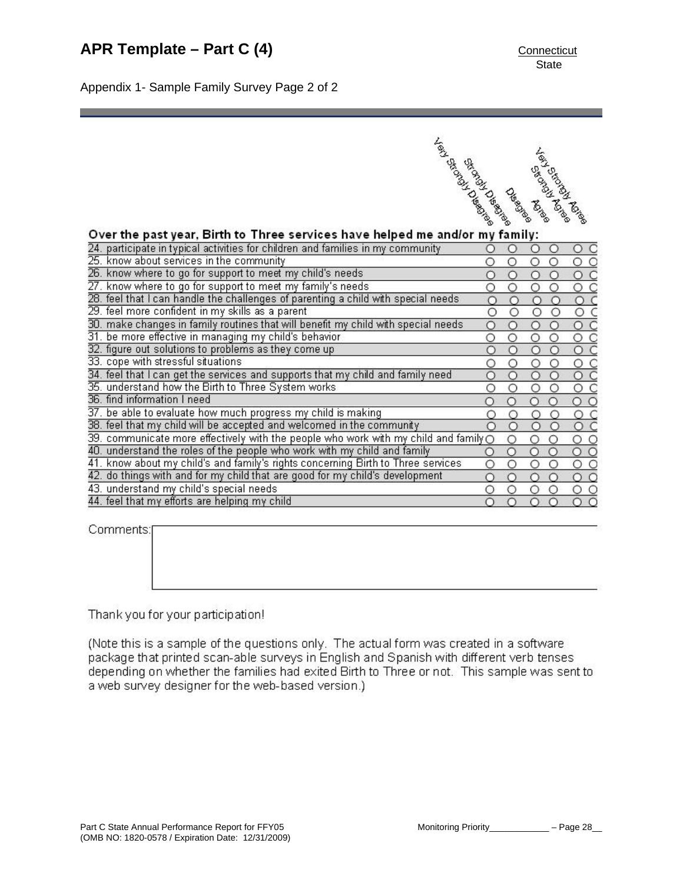Appendix 1- Sample Family Survey Page 2 of 2

| <b>British River Report Report Report Report Report Report Report Report Report Report Report Report Report Report Report Report Report Report Report Report Report Report Report Report Report Report Report Report Report Repo</b> | <b>CHARGE DE ROAD</b> |                | Leit of other date |
|--------------------------------------------------------------------------------------------------------------------------------------------------------------------------------------------------------------------------------------|-----------------------|----------------|--------------------|
|                                                                                                                                                                                                                                      |                       | Strong Mariage |                    |
|                                                                                                                                                                                                                                      |                       | <b>Creek</b>   |                    |

| Over the past year, Birth to Three services have helped me and/or my family:                                |         |   |            |          |                    |  |
|-------------------------------------------------------------------------------------------------------------|---------|---|------------|----------|--------------------|--|
| 24. participate in typical activities for children and families in my community                             |         |   | Ω          | O        | C<br>O             |  |
| 25. know about services in the community                                                                    | $\circ$ | О | О          | О        | O<br>$\circ$       |  |
| 26. know where to go for support to meet my child's needs                                                   |         |   | $\circ$    | О        | $\circ$ $\circ$    |  |
| 27. know where to go for support to meet my family's needs                                                  |         | O | Ο          |          | ОС                 |  |
| 28. feel that I can handle the challenges of parenting a child with special needs                           |         | Ω | $\bigcap$  | ∩        | $\circ$ $\circ$    |  |
| 29. feel more confident in my skills as a parent                                                            |         | O | О          | О        | $\circ$            |  |
| 30. make changes in family routines that will benefit my child with special needs                           | n       | O | $\circ$    | Ω        | $\circ$            |  |
| 31. be more effective in managing my child's behavior                                                       |         | Ο | $\circ$    | Ο        | O                  |  |
| 32. figure out solutions to problems as they come up                                                        |         | O | $\circ$    | Ω        | $\circ$            |  |
| 33. cope with stressful situations                                                                          |         | Ο | $\circ$    | Ο        | $\circ$ $\circ$    |  |
| 34. feel that I can get the services and supports that my child and family need.                            |         | O | Ο          | О        | $\circ$ $\circ$    |  |
| 35. understand how the Birth to Three System works                                                          | ∩       | O | O          | Ο        | O<br>$\mathsf{C}$  |  |
| 36, find information I need                                                                                 |         | Ο | $\bigcirc$ | O        | $\circ$            |  |
| 37, be able to evaluate how much progress my child is making                                                |         | ∩ | ∩          | ∩        | $\circ$ $\circ$    |  |
| 38. feel that my child will be accepted and welcomed in the community                                       |         | Ο | $\circ$    | Ο        | $\circ$ $\circ$    |  |
| $\overline{39}$ . communicate more effectively with the people who work with my child and family $\bigcirc$ |         | O | O          | Ο        | $\circ$<br>$\circ$ |  |
| 40. understand the roles of the people who work with my child and family                                    |         | О | О          | О        | $\circ$            |  |
| 41. know about my child's and family's rights concerning Birth to Three services                            | Ω       | O | O          | О        | $\circ$            |  |
| 42. do things with and for my child that are good for my child's development                                |         | ∩ | ∩          | ∩        | $\circ$ $\circ$    |  |
| 43. understand my child's special needs                                                                     | Ο       | Ο | Ο          | Ο        | $\circ$            |  |
| 44. feel that my efforts are helping my child                                                               |         | Ω | $\circ$    | $\Omega$ | $\circ$            |  |
|                                                                                                             |         |   |            |          |                    |  |

Comments:

Thank you for your participation!

(Note this is a sample of the questions only. The actual form was created in a software package that printed scan-able surveys in English and Spanish with different verb tenses depending on whether the families had exited Birth to Three or not. This sample was sent to a web survey designer for the web-based version.)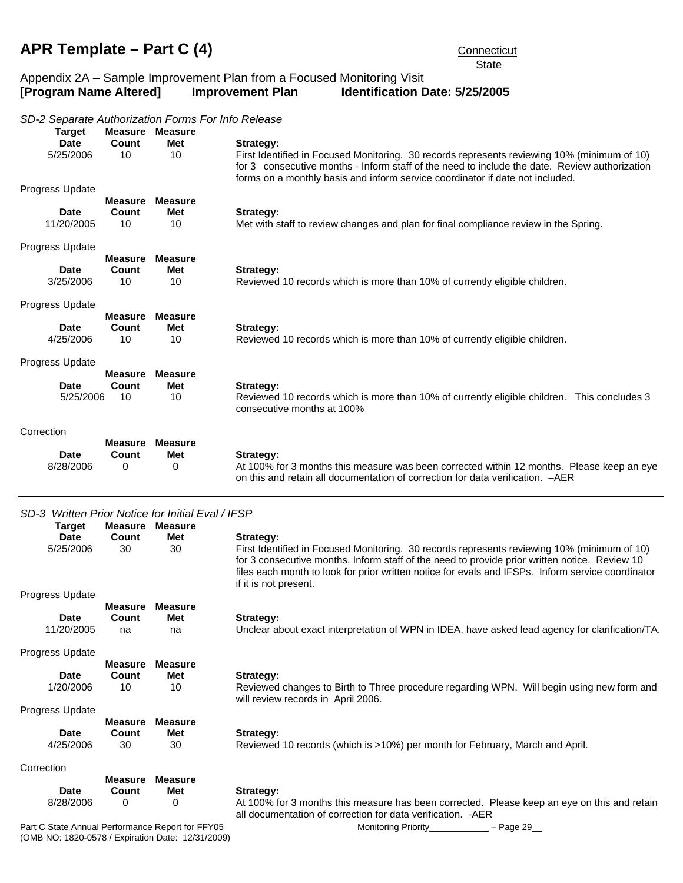<span id="page-28-0"></span>**State** Part C State Annual Performance Report for FFY05 Monitoring Priority Figure 29 Appendix 2A – Sample Improvement Plan from a Focused Monitoring Visit **[Program Name Altered] Improvement Plan Identification Date: 5/25/2005**  *SD-2 Separate Authorization Forms For Info Release* **Target Measure Measure** Date Count Met Strategy: 5/25/2006 10 10 First Identified in Focused Monitoring. 30 records represents reviewing 10% (minimum of 10) for 3 consecutive months - Inform staff of the need to include the date. Review authorization forms on a monthly basis and inform service coordinator if date not included. Progress Update **Measure Measure** Date Count Met Strategy: 11/20/2005 10 10 Met with staff to review changes and plan for final compliance review in the Spring. Progress Update **Measure Measure** Date Count Met Strategy: 3/25/2006 10 10 Reviewed 10 records which is more than 10% of currently eligible children. Progress Update **Measure Measure** Date Count Met Strategy: 4/25/2006 10 10 Reviewed 10 records which is more than 10% of currently eligible children. Progress Update **Measure Measure** Date Count Met Strategy: 5/25/2006 10 10 Reviewed 10 records which is more than 10% of currently eligible children. This concludes 3 consecutive months at 100% **Correction Measure Measure** Date Count Met Strategy: 8/28/2006 0 0 0 At 100% for 3 months this measure was been corrected within 12 months. Please keep an eye on this and retain all documentation of correction for data verification. –AER *SD-3 Written Prior Notice for Initial Eval / IFSP* **Target Measure Measure** Date Count Met Strategy: 5/25/2006 30 30 First Identified in Focused Monitoring. 30 records represents reviewing 10% (minimum of 10) for 3 consecutive months. Inform staff of the need to provide prior written notice. Review 10 files each month to look for prior written notice for evals and IFSPs. Inform service coordinator if it is not present. Progress Update **Measure Measure** Date Count Met Strategy: 11/20/2005 na na Unclear about exact interpretation of WPN in IDEA, have asked lead agency for clarification/TA. Progress Update **Measure Measure** Date Count Met Strategy: 1/20/2006 10 10 Reviewed changes to Birth to Three procedure regarding WPN. Will begin using new form and will review records in April 2006. Progress Update **Measure Measure** Date Count Met Strategy: 4/25/2006 30 30 Reviewed 10 records (which is >10%) per month for February, March and April. Correction **Measure Measure** Date Count Met Strategy: 8/28/2006 0 0 At 100% for 3 months this measure has been corrected. Please keep an eye on this and retain all documentation of correction for data verification. -AER

(OMB NO: 1820-0578 / Expiration Date: 12/31/2009)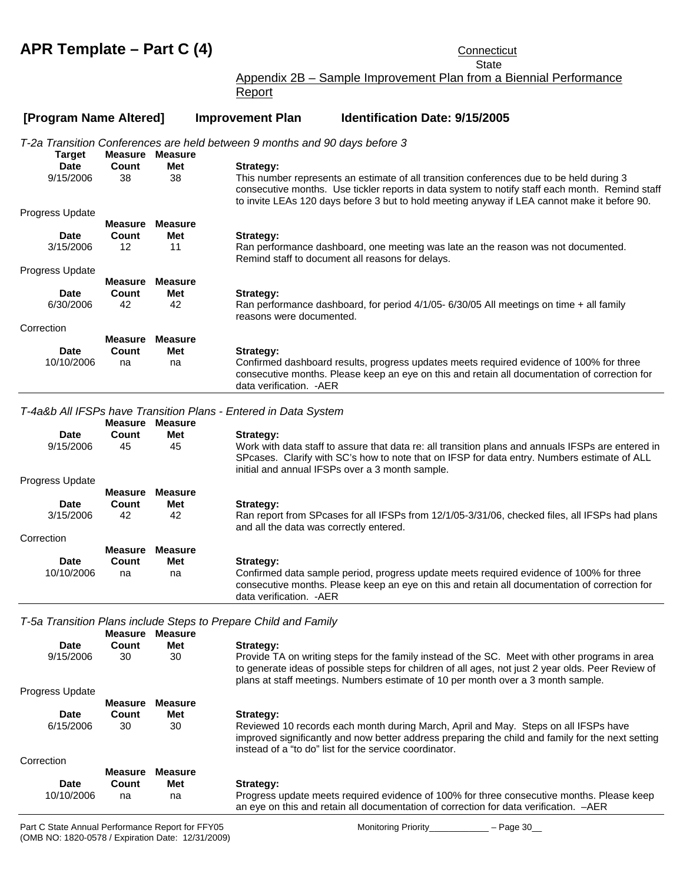**State** Appendix 2B – Sample Improvement Plan from a Biennial Performance

Report

### **[Program Name Altered] Improvement Plan Identification Date: 9/15/2005**

*T-2a Transition Conferences are held between 9 months and 90 days before 3*

|                          |                   |                        | 1-2a Transition Conferences are held between 9 months and 90 days before 3                                                                                                                                                                                                                               |
|--------------------------|-------------------|------------------------|----------------------------------------------------------------------------------------------------------------------------------------------------------------------------------------------------------------------------------------------------------------------------------------------------------|
| <b>Target</b>            |                   | <b>Measure Measure</b> |                                                                                                                                                                                                                                                                                                          |
| <b>Date</b><br>9/15/2006 | Count<br>38       | Met<br>38              | Strategy:<br>This number represents an estimate of all transition conferences due to be held during 3<br>consecutive months. Use tickler reports in data system to notify staff each month. Remind staff<br>to invite LEAs 120 days before 3 but to hold meeting anyway if LEA cannot make it before 90. |
| Progress Update          |                   |                        |                                                                                                                                                                                                                                                                                                          |
|                          | <b>Measure</b>    | <b>Measure</b>         |                                                                                                                                                                                                                                                                                                          |
| <b>Date</b>              | Count             | Met                    | Strategy:                                                                                                                                                                                                                                                                                                |
| 3/15/2006                | $12 \overline{ }$ | 11                     | Ran performance dashboard, one meeting was late an the reason was not documented.<br>Remind staff to document all reasons for delays.                                                                                                                                                                    |
| <b>Progress Update</b>   |                   |                        |                                                                                                                                                                                                                                                                                                          |
|                          | <b>Measure</b>    | <b>Measure</b>         |                                                                                                                                                                                                                                                                                                          |
| <b>Date</b>              | Count             | Met                    | Strategy:                                                                                                                                                                                                                                                                                                |
| 6/30/2006                | 42                | 42                     | Ran performance dashboard, for period 4/1/05- 6/30/05 All meetings on time + all family<br>reasons were documented.                                                                                                                                                                                      |
| Correction               |                   |                        |                                                                                                                                                                                                                                                                                                          |
|                          | <b>Measure</b>    | <b>Measure</b>         |                                                                                                                                                                                                                                                                                                          |
| <b>Date</b>              | Count             | Met                    | Strategy:                                                                                                                                                                                                                                                                                                |
| 10/10/2006               | na                | na                     | Confirmed dashboard results, progress updates meets required evidence of 100% for three<br>consecutive months. Please keep an eye on this and retain all documentation of correction for<br>data verification. - AER                                                                                     |
|                          |                   |                        | T-4a&b All IFSPs have Transition Plans - Entered in Data System                                                                                                                                                                                                                                          |
|                          | <b>Measure</b>    | <b>Measure</b>         |                                                                                                                                                                                                                                                                                                          |
| <b>Date</b>              | Count             | Met                    | Strategy:                                                                                                                                                                                                                                                                                                |
| 9/15/2006                | 45                | 45                     | Work with data staff to assure that data re: all transition plans and annuals IFSPs are entered in<br>SPcases. Clarify with SC's how to note that on IFSP for data entry. Numbers estimate of ALL<br>initial and annual IFSPs over a 3 month sample.                                                     |
| Progress Update          |                   |                        |                                                                                                                                                                                                                                                                                                          |
|                          | <b>Measure</b>    | <b>Measure</b>         |                                                                                                                                                                                                                                                                                                          |
| <b>Date</b>              | Count             | Met                    | Strategy:                                                                                                                                                                                                                                                                                                |
| 3/15/2006                | 42                | 42                     | Ran report from SPcases for all IFSPs from 12/1/05-3/31/06, checked files, all IFSPs had plans<br>and all the data was correctly entered.                                                                                                                                                                |
| Correction               |                   |                        |                                                                                                                                                                                                                                                                                                          |
|                          | <b>Measure</b>    | <b>Measure</b>         |                                                                                                                                                                                                                                                                                                          |
| <b>Date</b>              | Count             | Met                    | Strategy:                                                                                                                                                                                                                                                                                                |
| 10/10/2006               | na                | na                     | Confirmed data sample period, progress update meets required evidence of 100% for three<br>consecutive months. Please keep an eye on this and retain all documentation of correction for<br>data verification. - AER                                                                                     |
|                          |                   |                        | T-5a Transition Plans include Steps to Prepare Child and Family                                                                                                                                                                                                                                          |
|                          |                   | <b>Measure Measure</b> |                                                                                                                                                                                                                                                                                                          |
| <b>Date</b>              | Count             | Met                    | Strategy:                                                                                                                                                                                                                                                                                                |
| 9/15/2006                | 30                | 30                     | Provide TA on writing steps for the family instead of the SC. Meet with other programs in area<br>to generate ideas of possible steps for children of all ages, not just 2 year olds. Peer Review of<br>plans at staff meetings. Numbers estimate of 10 per month over a 3 month sample.                 |
| <b>Progress Update</b>   |                   |                        |                                                                                                                                                                                                                                                                                                          |
|                          | <b>Measure</b>    | <b>Measure</b>         |                                                                                                                                                                                                                                                                                                          |
| <b>Date</b>              | Count             | Met                    | Strategy:                                                                                                                                                                                                                                                                                                |

 6/15/2006 30 30 Reviewed 10 records each month during March, April and May. Steps on all IFSPs have improved significantly and now better address preparing the child and family for the next setting instead of a "to do" list for the service coordinator.

# Correction

| Correction |            |         |         |                                                                                           |
|------------|------------|---------|---------|-------------------------------------------------------------------------------------------|
|            |            | Measure | Measure |                                                                                           |
|            | Date       | Count   | Met     | Strategy:                                                                                 |
|            | 10/10/2006 | na      | na      | Progress update meets required evidence of 100% for three consecutive months. Please keep |
|            |            |         |         | an eye on this and retain all documentation of correction for data verification. $-AER$   |